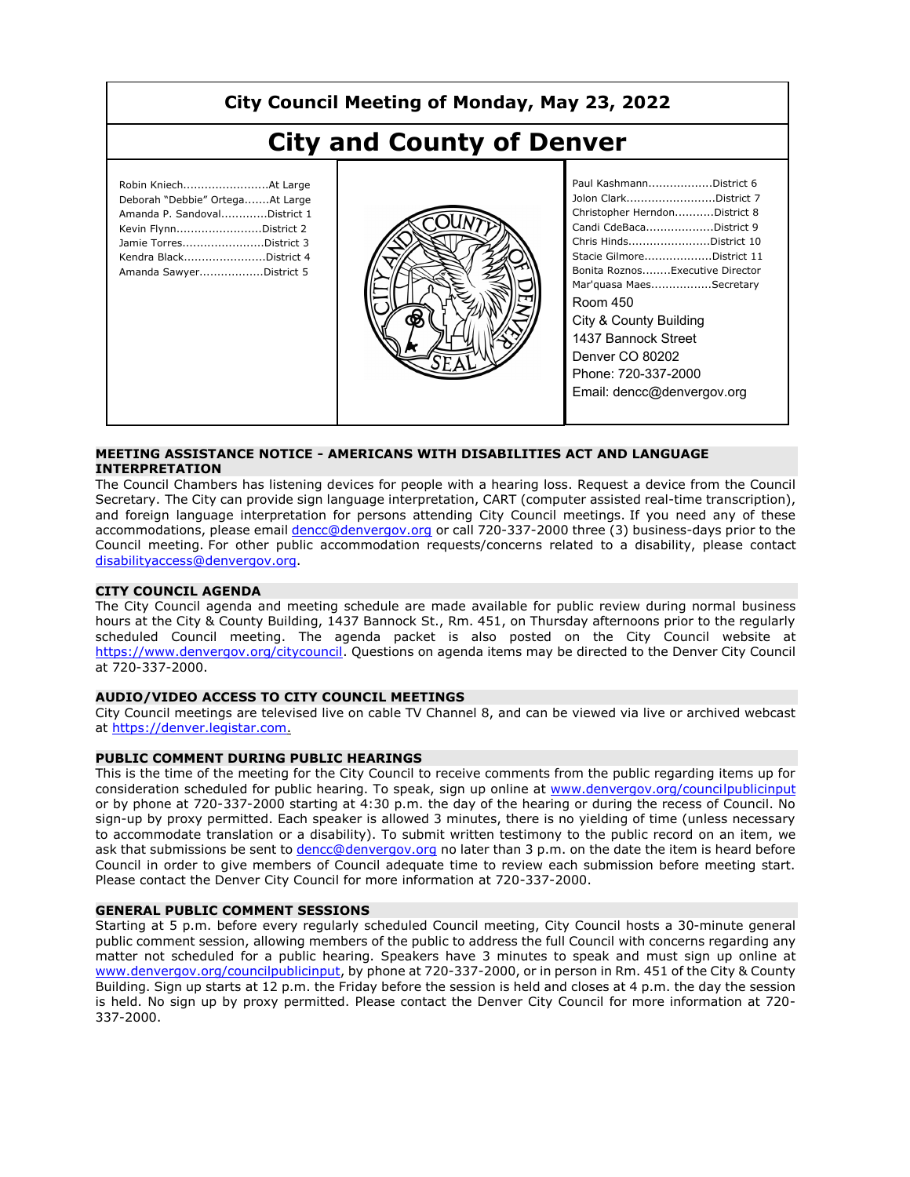# **City Council Meeting of Monday, May 23, 2022**

# **City and County of Denver**

| Robin KniechAt Large<br>Deborah "Debbie" OrtegaAt Large<br>Amanda P. SandovalDistrict 1<br>Kevin FlynnDistrict 2<br>Jamie TorresDistrict 3<br>Kendra BlackDistrict 4<br>Amanda SawyerDistrict 5 |
|-------------------------------------------------------------------------------------------------------------------------------------------------------------------------------------------------|
|                                                                                                                                                                                                 |



| Paul KashmannDistrict 6         |
|---------------------------------|
| Jolon ClarkDistrict 7           |
| Christopher HerndonDistrict 8   |
| Candi CdeBacaDistrict 9         |
| Chris HindsDistrict 10          |
| Stacie GilmoreDistrict 11       |
| Bonita RoznosExecutive Director |
| Mar'quasa MaesSecretary         |
| Room 450                        |
| City & County Building          |
| 1437 Bannock Street             |
| Denver CO 80202                 |
| Phone: 720-337-2000             |
| Email: dencc@denvergov.org      |
|                                 |

#### **MEETING ASSISTANCE NOTICE - AMERICANS WITH DISABILITIES ACT AND LANGUAGE INTERPRETATION**

The Council Chambers has listening devices for people with a hearing loss. Request a device from the Council Secretary. The City can provide sign language interpretation, CART (computer assisted real-time transcription), and foreign language interpretation for persons attending City Council meetings. If you need any of these accommodations, please email dencc@denvergov.org or call 720-337-2000 three (3) business-days prior to the Council meeting. For other public accommodation requests/concerns related to a disability, please contact disabilityaccess@denvergov.org.

#### **CITY COUNCIL AGENDA**

The City Council agenda and meeting schedule are made available for public review during normal business hours at the City & County Building, 1437 Bannock St., Rm. 451, on Thursday afternoons prior to the regularly scheduled Council meeting. The agenda packet is also posted on the City Council website at https://www.denvergov.org/citycouncil. Questions on agenda items may be directed to the Denver City Council at 720-337-2000.

#### **AUDIO/VIDEO ACCESS TO CITY COUNCIL MEETINGS**

City Council meetings are televised live on cable TV Channel 8, and can be viewed via live or archived webcast at https://denver.legistar.com.

#### **PUBLIC COMMENT DURING PUBLIC HEARINGS**

This is the time of the meeting for the City Council to receive comments from the public regarding items up for consideration scheduled for public hearing. To speak, sign up online at www.denvergov.org/councilpublicinput or by phone at 720-337-2000 starting at 4:30 p.m. the day of the hearing or during the recess of Council. No sign-up by proxy permitted. Each speaker is allowed 3 minutes, there is no yielding of time (unless necessary to accommodate translation or a disability). To submit written testimony to the public record on an item, we ask that submissions be sent to dencc@denvergov.org no later than 3 p.m. on the date the item is heard before Council in order to give members of Council adequate time to review each submission before meeting start. Please contact the Denver City Council for more information at 720-337-2000.

#### **GENERAL PUBLIC COMMENT SESSIONS**

Starting at 5 p.m. before every regularly scheduled Council meeting, City Council hosts a 30-minute general public comment session, allowing members of the public to address the full Council with concerns regarding any matter not scheduled for a public hearing. Speakers have 3 minutes to speak and must sign up online at www.denvergov.org/councilpublicinput, by phone at 720-337-2000, or in person in Rm. 451 of the City & County Building. Sign up starts at 12 p.m. the Friday before the session is held and closes at 4 p.m. the day the session is held. No sign up by proxy permitted. Please contact the Denver City Council for more information at 720- 337-2000.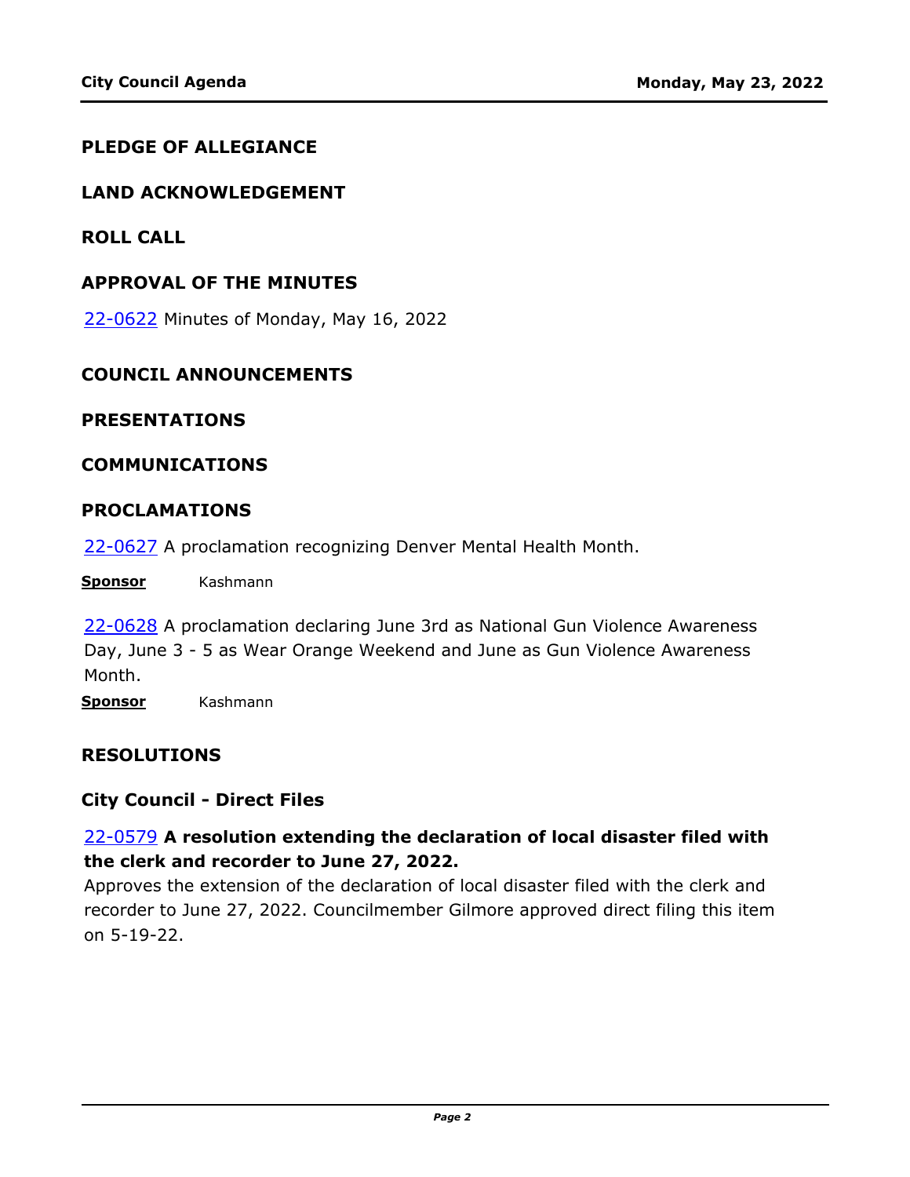#### **PLEDGE OF ALLEGIANCE**

#### **LAND ACKNOWLEDGEMENT**

**ROLL CALL**

#### **APPROVAL OF THE MINUTES**

22-0622 [Minutes of Monday, May 16, 2022](http://denver.legistar.com/gateway.aspx?m=l&id=/matter.aspx?key=21689)

#### **COUNCIL ANNOUNCEMENTS**

#### **PRESENTATIONS**

#### **COMMUNICATIONS**

#### **PROCLAMATIONS**

22-0627 [A proclamation recognizing Denver Mental Health Month.](http://denver.legistar.com/gateway.aspx?m=l&id=/matter.aspx?key=21694)

**Sponsor** Kashmann

22-0628 A proclamation declaring June 3rd as National Gun Violence Awareness [Day, June 3 - 5 as Wear Orange Weekend and June as Gun Violence Awareness](http://denver.legistar.com/gateway.aspx?m=l&id=/matter.aspx?key=21695)  Month.

**Sponsor** Kashmann

#### **RESOLUTIONS**

#### **City Council - Direct Files**

## 22-0579 **A resolution extending the declaration of local disaster filed with the clerk and recorder to June 27, 2022.**

Approves the extension of the declaration of local disaster filed with the clerk and [recorder to June 27, 2022. Councilmember Gilmore approved direct filing this item](http://denver.legistar.com/gateway.aspx?m=l&id=/matter.aspx?key=21646)  on 5-19-22.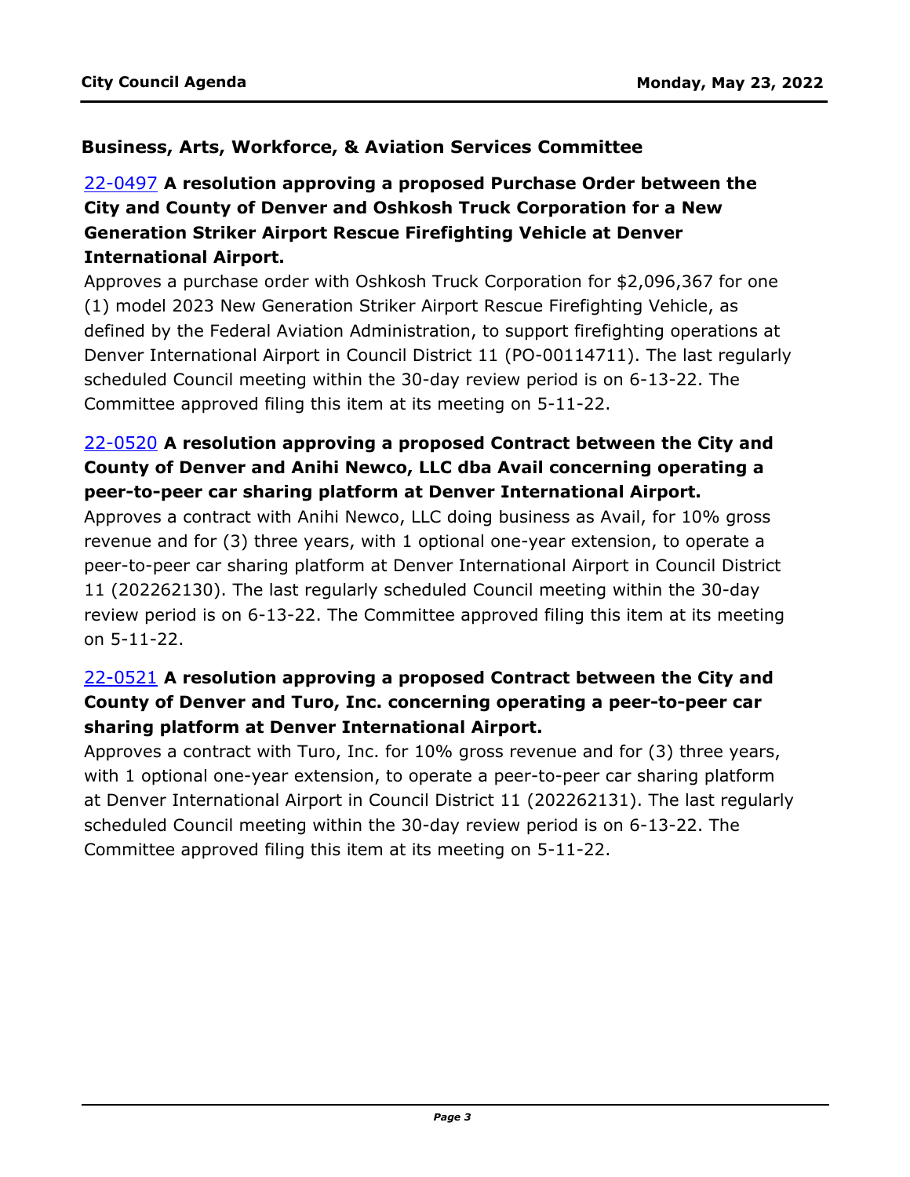## **Business, Arts, Workforce, & Aviation Services Committee**

# 22-0497 **A resolution approving a proposed Purchase Order between the City and County of Denver and Oshkosh Truck Corporation for a New Generation Striker Airport Rescue Firefighting Vehicle at Denver International Airport.**

Approves a purchase order with Oshkosh Truck Corporation for \$2,096,367 for one (1) model 2023 New Generation Striker Airport Rescue Firefighting Vehicle, as defined by the Federal Aviation Administration, to support firefighting operations at [Denver International Airport in Council District 11 \(PO-00114711\). The last regularly](http://denver.legistar.com/gateway.aspx?m=l&id=/matter.aspx?key=21564)  scheduled Council meeting within the 30-day review period is on 6-13-22. The Committee approved filing this item at its meeting on 5-11-22.

# 22-0520 **A resolution approving a proposed Contract between the City and County of Denver and Anihi Newco, LLC dba Avail concerning operating a peer-to-peer car sharing platform at Denver International Airport.**

Approves a contract with Anihi Newco, LLC doing business as Avail, for 10% gross revenue and for (3) three years, with 1 optional one-year extension, to operate a peer-to-peer car sharing platform at Denver International Airport in Council District 11 (202262130). The last regularly scheduled Council meeting within the 30-day [review period is on 6-13-22. The Committee approved filing this item at its meeting](http://denver.legistar.com/gateway.aspx?m=l&id=/matter.aspx?key=21587)  on 5-11-22.

# 22-0521 **A resolution approving a proposed Contract between the City and County of Denver and Turo, Inc. concerning operating a peer-to-peer car sharing platform at Denver International Airport.**

Approves a contract with Turo, Inc. for 10% gross revenue and for (3) three years, with 1 optional one-year extension, to operate a peer-to-peer car sharing platform [at Denver International Airport in Council District 11 \(202262131\). The last regularly](http://denver.legistar.com/gateway.aspx?m=l&id=/matter.aspx?key=21588)  scheduled Council meeting within the 30-day review period is on 6-13-22. The Committee approved filing this item at its meeting on 5-11-22.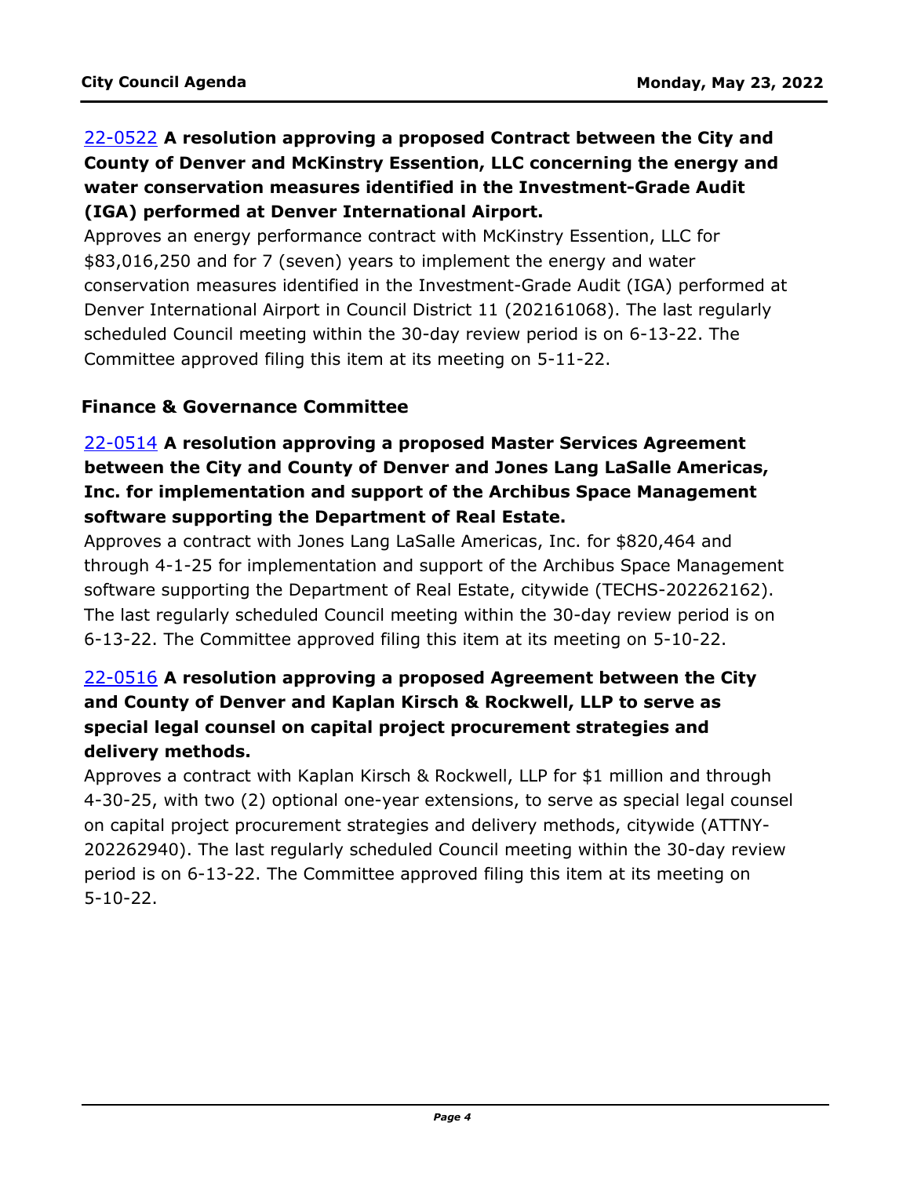# 22-0522 **A resolution approving a proposed Contract between the City and County of Denver and McKinstry Essention, LLC concerning the energy and water conservation measures identified in the Investment-Grade Audit (IGA) performed at Denver International Airport.**

Approves an energy performance contract with McKinstry Essention, LLC for \$83,016,250 and for 7 (seven) years to implement the energy and water [conservation measures identified in the Investment-Grade Audit \(IGA\) performed at](http://denver.legistar.com/gateway.aspx?m=l&id=/matter.aspx?key=21589)  Denver International Airport in Council District 11 (202161068). The last regularly scheduled Council meeting within the 30-day review period is on 6-13-22. The Committee approved filing this item at its meeting on 5-11-22.

## **Finance & Governance Committee**

# 22-0514 **A resolution approving a proposed Master Services Agreement between the City and County of Denver and Jones Lang LaSalle Americas, Inc. for implementation and support of the Archibus Space Management software supporting the Department of Real Estate.**

Approves a contract with Jones Lang LaSalle Americas, Inc. for \$820,464 and [through 4-1-25 for implementation and support of the Archibus Space Management](http://denver.legistar.com/gateway.aspx?m=l&id=/matter.aspx?key=21581)  software supporting the Department of Real Estate, citywide (TECHS-202262162). The last regularly scheduled Council meeting within the 30-day review period is on 6-13-22. The Committee approved filing this item at its meeting on 5-10-22.

# 22-0516 **A resolution approving a proposed Agreement between the City and County of Denver and Kaplan Kirsch & Rockwell, LLP to serve as special legal counsel on capital project procurement strategies and delivery methods.**

Approves a contract with Kaplan Kirsch & Rockwell, LLP for \$1 million and through [4-30-25, with two \(2\) optional one-year extensions, to serve as special legal counsel](http://denver.legistar.com/gateway.aspx?m=l&id=/matter.aspx?key=21583)  on capital project procurement strategies and delivery methods, citywide (ATTNY-202262940). The last regularly scheduled Council meeting within the 30-day review period is on 6-13-22. The Committee approved filing this item at its meeting on 5-10-22.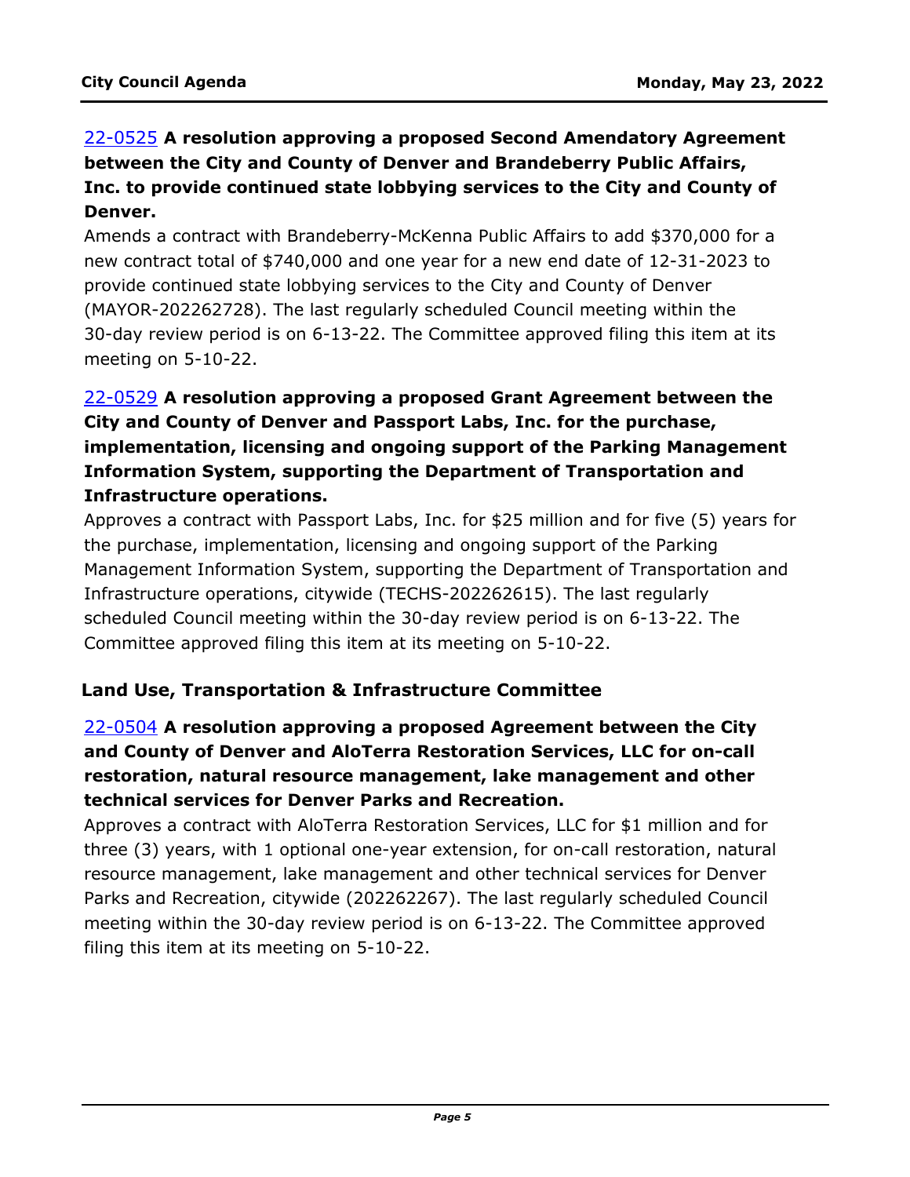# 22-0525 **A resolution approving a proposed Second Amendatory Agreement between the City and County of Denver and Brandeberry Public Affairs, [Inc. to provide continued state lobbying services to the City and County of](http://denver.legistar.com/gateway.aspx?m=l&id=/matter.aspx?key=21592)  Denver.**

Amends a contract with Brandeberry-McKenna Public Affairs to add \$370,000 for a new contract total of \$740,000 and one year for a new end date of 12-31-2023 to provide continued state lobbying services to the City and County of Denver (MAYOR-202262728). The last regularly scheduled Council meeting within the 30-day review period is on 6-13-22. The Committee approved filing this item at its meeting on 5-10-22.

# 22-0529 **A resolution approving a proposed Grant Agreement between the City and County of Denver and Passport Labs, Inc. for the purchase, implementation, licensing and ongoing support of the Parking Management Information System, supporting the Department of Transportation and Infrastructure operations.**

[Approves a contract with Passport Labs, Inc. for \\$25 million and for five \(5\) years for](http://denver.legistar.com/gateway.aspx?m=l&id=/matter.aspx?key=21596)  the purchase, implementation, licensing and ongoing support of the Parking Management Information System, supporting the Department of Transportation and Infrastructure operations, citywide (TECHS-202262615). The last regularly scheduled Council meeting within the 30-day review period is on 6-13-22. The Committee approved filing this item at its meeting on 5-10-22.

#### **Land Use, Transportation & Infrastructure Committee**

# 22-0504 **A resolution approving a proposed Agreement between the City and County of Denver and AloTerra Restoration Services, LLC for on-call restoration, natural resource management, lake management and other technical services for Denver Parks and Recreation.**

Approves a contract with AloTerra Restoration Services, LLC for \$1 million and for [three \(3\) years, with 1 optional one-year extension, for on-call restoration, natural](http://denver.legistar.com/gateway.aspx?m=l&id=/matter.aspx?key=21571)  resource management, lake management and other technical services for Denver Parks and Recreation, citywide (202262267). The last regularly scheduled Council meeting within the 30-day review period is on 6-13-22. The Committee approved filing this item at its meeting on 5-10-22.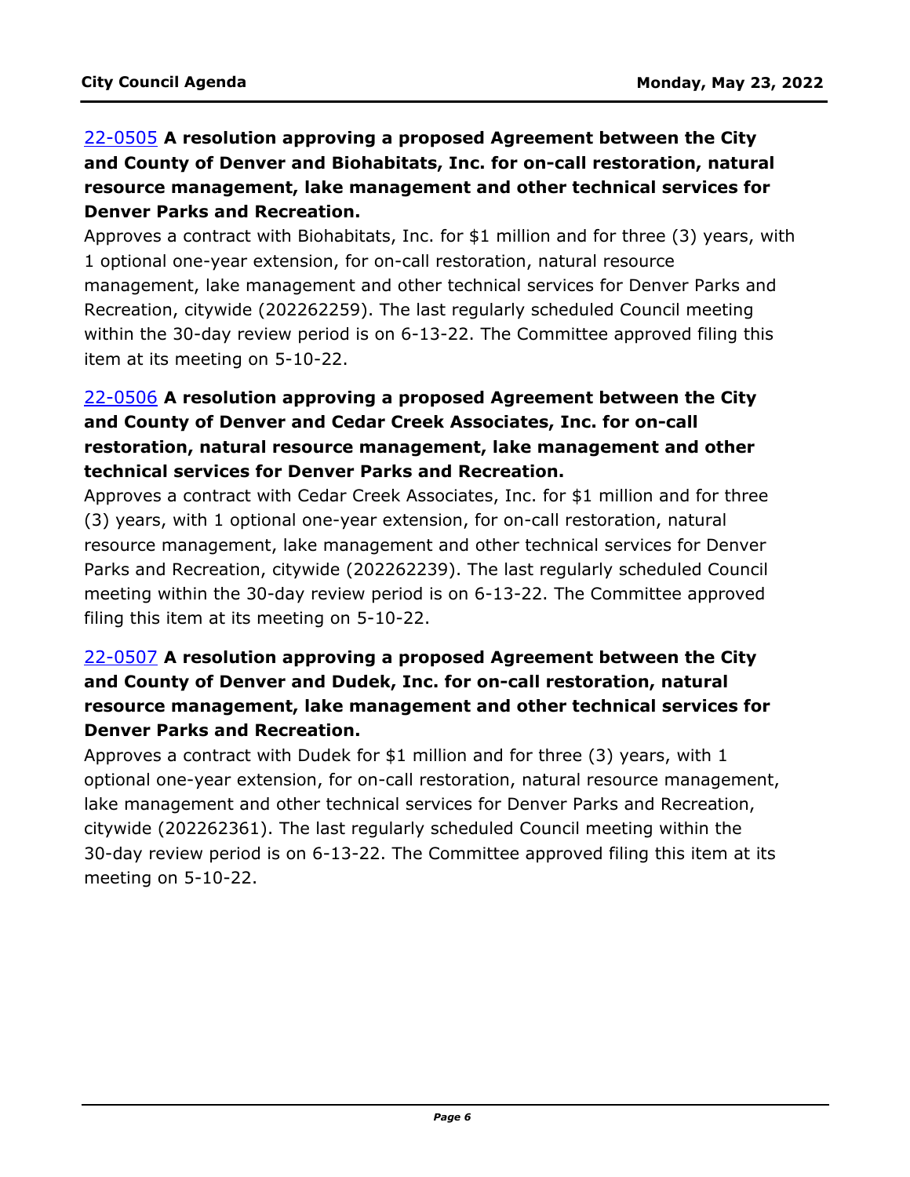# 22-0505 **A resolution approving a proposed Agreement between the City and County of Denver and Biohabitats, Inc. for on-call restoration, natural resource management, lake management and other technical services for Denver Parks and Recreation.**

[Approves a contract with Biohabitats, Inc. for \\$1 million and for three \(3\) years, with](http://denver.legistar.com/gateway.aspx?m=l&id=/matter.aspx?key=21572)  1 optional one-year extension, for on-call restoration, natural resource management, lake management and other technical services for Denver Parks and Recreation, citywide (202262259). The last regularly scheduled Council meeting within the 30-day review period is on 6-13-22. The Committee approved filing this item at its meeting on 5-10-22.

# 22-0506 **A resolution approving a proposed Agreement between the City and County of Denver and Cedar Creek Associates, Inc. for on-call restoration, natural resource management, lake management and other technical services for Denver Parks and Recreation.**

[Approves a contract with Cedar Creek Associates, Inc. for \\$1 million and for three](http://denver.legistar.com/gateway.aspx?m=l&id=/matter.aspx?key=21573)  (3) years, with 1 optional one-year extension, for on-call restoration, natural resource management, lake management and other technical services for Denver Parks and Recreation, citywide (202262239). The last regularly scheduled Council meeting within the 30-day review period is on 6-13-22. The Committee approved filing this item at its meeting on 5-10-22.

# 22-0507 **A resolution approving a proposed Agreement between the City and County of Denver and Dudek, Inc. for on-call restoration, natural resource management, lake management and other technical services for Denver Parks and Recreation.**

Approves a contract with Dudek for \$1 million and for three (3) years, with 1 [optional one-year extension, for on-call restoration, natural resource management,](http://denver.legistar.com/gateway.aspx?m=l&id=/matter.aspx?key=21574)  lake management and other technical services for Denver Parks and Recreation, citywide (202262361). The last regularly scheduled Council meeting within the 30-day review period is on 6-13-22. The Committee approved filing this item at its meeting on 5-10-22.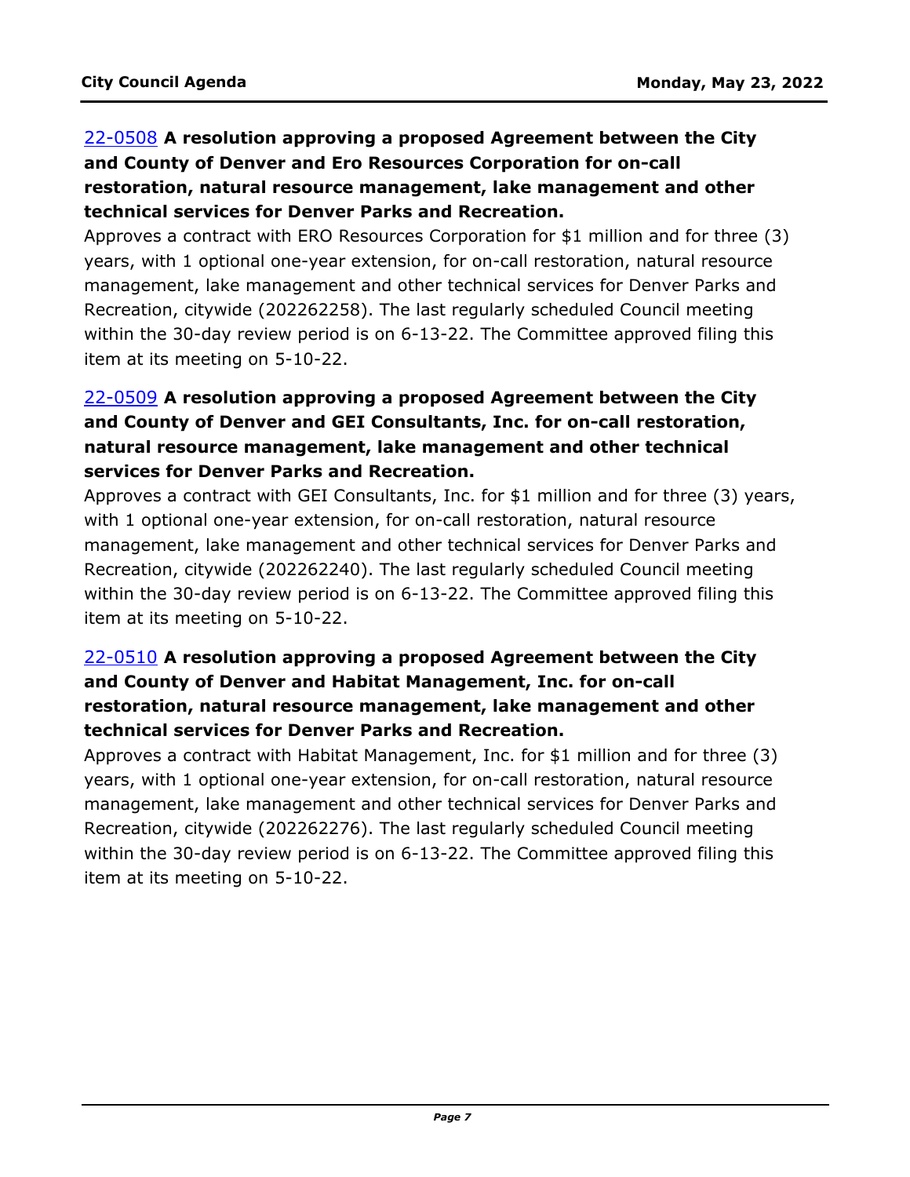# 22-0508 **A resolution approving a proposed Agreement between the City and County of Denver and Ero Resources Corporation for on-call restoration, natural resource management, lake management and other technical services for Denver Parks and Recreation.**

[Approves a contract with ERO Resources Corporation for \\$1 million and for three \(3\)](http://denver.legistar.com/gateway.aspx?m=l&id=/matter.aspx?key=21575)  years, with 1 optional one-year extension, for on-call restoration, natural resource management, lake management and other technical services for Denver Parks and Recreation, citywide (202262258). The last regularly scheduled Council meeting within the 30-day review period is on 6-13-22. The Committee approved filing this item at its meeting on 5-10-22.

# 22-0509 **A resolution approving a proposed Agreement between the City and County of Denver and GEI Consultants, Inc. for on-call restoration, natural resource management, lake management and other technical services for Denver Parks and Recreation.**

[Approves a contract with GEI Consultants, Inc. for \\$1 million and for three \(3\) years,](http://denver.legistar.com/gateway.aspx?m=l&id=/matter.aspx?key=21576)  with 1 optional one-year extension, for on-call restoration, natural resource management, lake management and other technical services for Denver Parks and Recreation, citywide (202262240). The last regularly scheduled Council meeting within the 30-day review period is on 6-13-22. The Committee approved filing this item at its meeting on 5-10-22.

## 22-0510 **A resolution approving a proposed Agreement between the City and County of Denver and Habitat Management, Inc. for on-call restoration, natural resource management, lake management and other technical services for Denver Parks and Recreation.**

[Approves a contract with Habitat Management, Inc. for \\$1 million and for three \(3\)](http://denver.legistar.com/gateway.aspx?m=l&id=/matter.aspx?key=21577)  years, with 1 optional one-year extension, for on-call restoration, natural resource management, lake management and other technical services for Denver Parks and Recreation, citywide (202262276). The last regularly scheduled Council meeting within the 30-day review period is on 6-13-22. The Committee approved filing this item at its meeting on 5-10-22.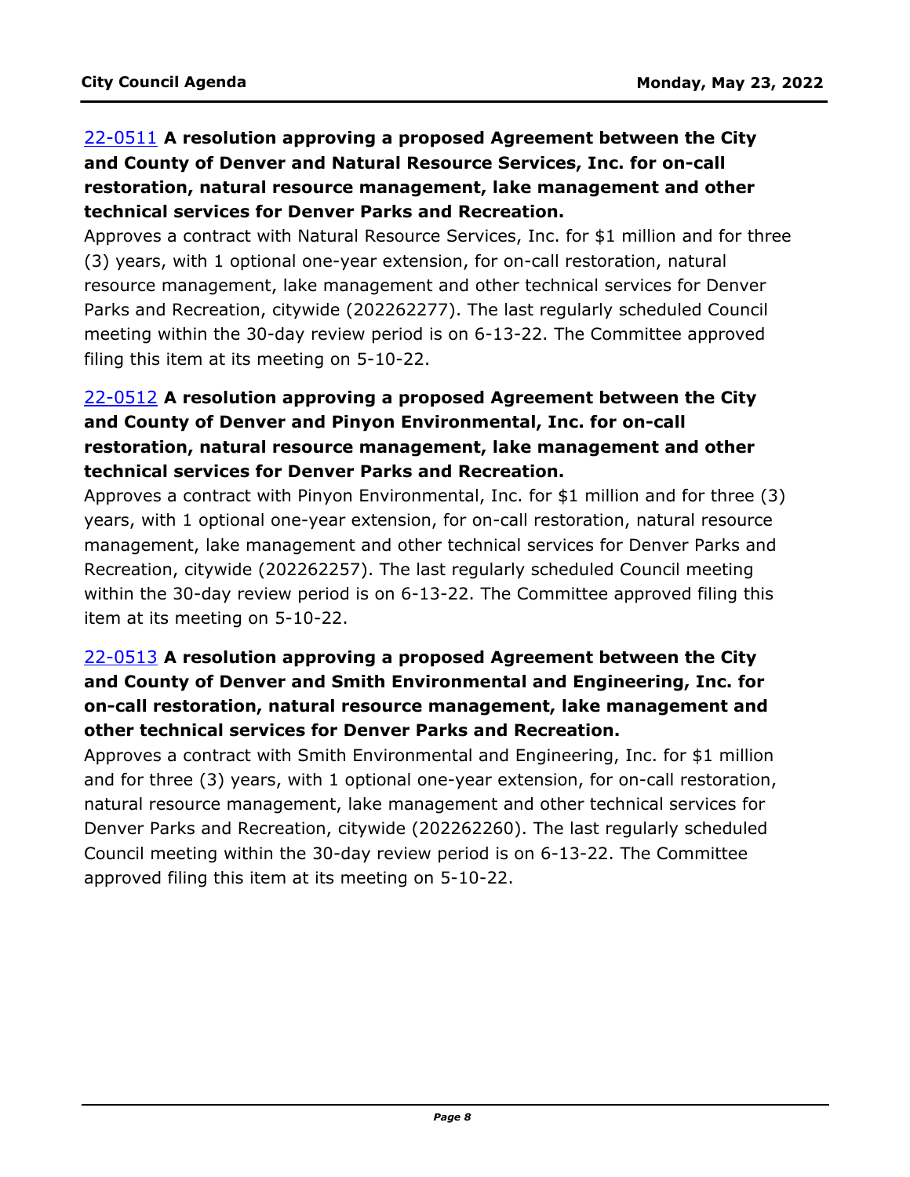# 22-0511 **A resolution approving a proposed Agreement between the City and County of Denver and Natural Resource Services, Inc. for on-call restoration, natural resource management, lake management and other technical services for Denver Parks and Recreation.**

[Approves a contract with Natural Resource Services, Inc. for \\$1 million and for three](http://denver.legistar.com/gateway.aspx?m=l&id=/matter.aspx?key=21578)  (3) years, with 1 optional one-year extension, for on-call restoration, natural resource management, lake management and other technical services for Denver Parks and Recreation, citywide (202262277). The last regularly scheduled Council meeting within the 30-day review period is on 6-13-22. The Committee approved filing this item at its meeting on 5-10-22.

# 22-0512 **A resolution approving a proposed Agreement between the City and County of Denver and Pinyon Environmental, Inc. for on-call restoration, natural resource management, lake management and other technical services for Denver Parks and Recreation.**

[Approves a contract with Pinyon Environmental, Inc. for \\$1 million and for three \(3\)](http://denver.legistar.com/gateway.aspx?m=l&id=/matter.aspx?key=21579)  years, with 1 optional one-year extension, for on-call restoration, natural resource management, lake management and other technical services for Denver Parks and Recreation, citywide (202262257). The last regularly scheduled Council meeting within the 30-day review period is on 6-13-22. The Committee approved filing this item at its meeting on 5-10-22.

# 22-0513 **A resolution approving a proposed Agreement between the City and County of Denver and Smith Environmental and Engineering, Inc. for on-call restoration, natural resource management, lake management and other technical services for Denver Parks and Recreation.**

Approves a contract with Smith Environmental and Engineering, Inc. for \$1 million [and for three \(3\) years, with 1 optional one-year extension, for on-call restoration,](http://denver.legistar.com/gateway.aspx?m=l&id=/matter.aspx?key=21580)  natural resource management, lake management and other technical services for Denver Parks and Recreation, citywide (202262260). The last regularly scheduled Council meeting within the 30-day review period is on 6-13-22. The Committee approved filing this item at its meeting on 5-10-22.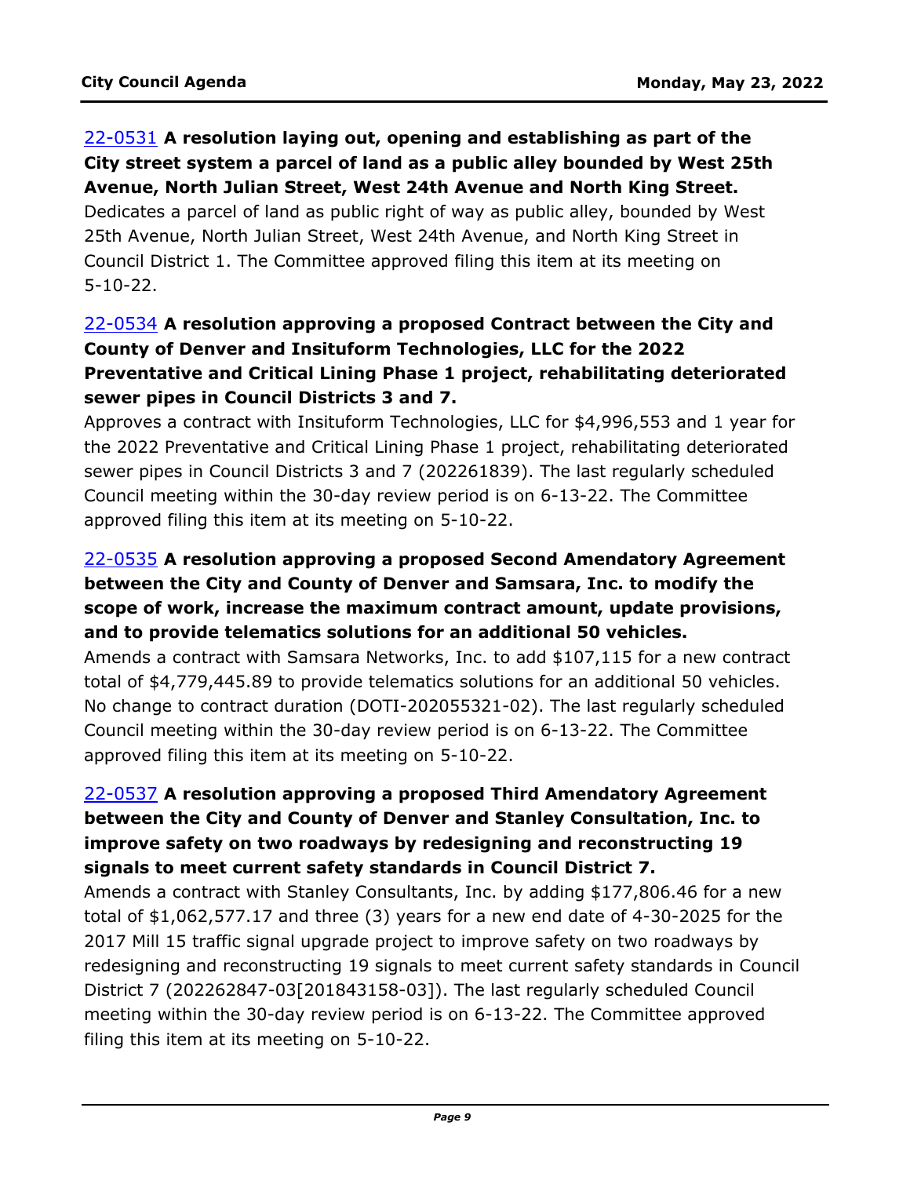## 22-0531 **A resolution laying out, opening and establishing as part of the [City street system a parcel of land as a public alley bounded by West 25th](http://denver.legistar.com/gateway.aspx?m=l&id=/matter.aspx?key=21598)  Avenue, North Julian Street, West 24th Avenue and North King Street.**

Dedicates a parcel of land as public right of way as public alley, bounded by West 25th Avenue, North Julian Street, West 24th Avenue, and North King Street in Council District 1. The Committee approved filing this item at its meeting on 5-10-22.

## 22-0534 **A resolution approving a proposed Contract between the City and County of Denver and Insituform Technologies, LLC for the 2022 Preventative and Critical Lining Phase 1 project, rehabilitating deteriorated sewer pipes in Council Districts 3 and 7.**

[Approves a contract with Insituform Technologies, LLC for \\$4,996,553 and 1 year for](http://denver.legistar.com/gateway.aspx?m=l&id=/matter.aspx?key=21601)  the 2022 Preventative and Critical Lining Phase 1 project, rehabilitating deteriorated sewer pipes in Council Districts 3 and 7 (202261839). The last regularly scheduled Council meeting within the 30-day review period is on 6-13-22. The Committee approved filing this item at its meeting on 5-10-22.

## 22-0535 **A resolution approving a proposed Second Amendatory Agreement between the City and County of Denver and Samsara, Inc. to modify the scope of work, increase the maximum contract amount, update provisions, and to provide telematics solutions for an additional 50 vehicles.**

[Amends a contract with Samsara Networks, Inc. to add \\$107,115 for a new contract](http://denver.legistar.com/gateway.aspx?m=l&id=/matter.aspx?key=21602)  total of \$4,779,445.89 to provide telematics solutions for an additional 50 vehicles. No change to contract duration (DOTI-202055321-02). The last regularly scheduled Council meeting within the 30-day review period is on 6-13-22. The Committee approved filing this item at its meeting on 5-10-22.

# 22-0537 **A resolution approving a proposed Third Amendatory Agreement between the City and County of Denver and Stanley Consultation, Inc. to improve safety on two roadways by redesigning and reconstructing 19 signals to meet current safety standards in Council District 7.**

Amends a contract with Stanley Consultants, Inc. by adding \$177,806.46 for a new total of \$1,062,577.17 and three (3) years for a new end date of 4-30-2025 for the 2017 Mill 15 traffic signal upgrade project to improve safety on two roadways by [redesigning and reconstructing 19 signals to meet current safety standards in Council](http://denver.legistar.com/gateway.aspx?m=l&id=/matter.aspx?key=21604)  District 7 (202262847-03[201843158-03]). The last regularly scheduled Council meeting within the 30-day review period is on 6-13-22. The Committee approved filing this item at its meeting on 5-10-22.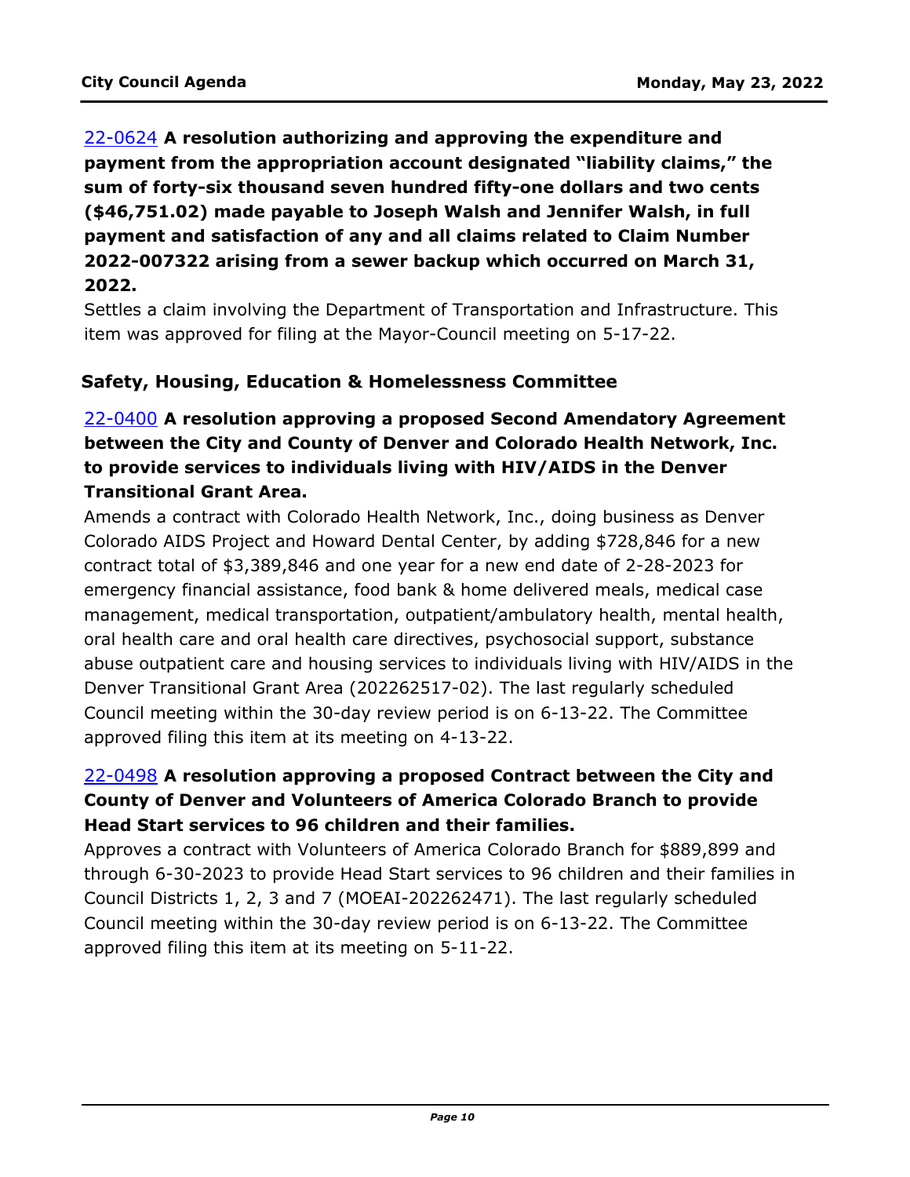# 22-0624 **A resolution authorizing and approving the expenditure and payment from the appropriation account designated "liability claims," the sum of forty-six thousand seven hundred fifty-one dollars and two cents (\$46,751.02) made payable to Joseph Walsh and Jennifer Walsh, in full payment and satisfaction of any and all claims related to Claim Number 2022-007322 arising from a sewer backup which occurred on March 31, 2022.**

[Settles a claim involving the Department of Transportation and Infrastructure. This](http://denver.legistar.com/gateway.aspx?m=l&id=/matter.aspx?key=21691)  item was approved for filing at the Mayor-Council meeting on 5-17-22.

#### **Safety, Housing, Education & Homelessness Committee**

# 22-0400 **A resolution approving a proposed Second Amendatory Agreement between the City and County of Denver and Colorado Health Network, Inc. to provide services to individuals living with HIV/AIDS in the Denver Transitional Grant Area.**

Amends a contract with Colorado Health Network, Inc., doing business as Denver Colorado AIDS Project and Howard Dental Center, by adding \$728,846 for a new contract total of \$3,389,846 and one year for a new end date of 2-28-2023 for emergency financial assistance, food bank & home delivered meals, medical case management, medical transportation, outpatient/ambulatory health, mental health, oral health care and oral health care directives, psychosocial support, substance [abuse outpatient care and housing services to individuals living with HIV/AIDS in the](http://denver.legistar.com/gateway.aspx?m=l&id=/matter.aspx?key=21467)  Denver Transitional Grant Area (202262517-02). The last regularly scheduled Council meeting within the 30-day review period is on 6-13-22. The Committee approved filing this item at its meeting on 4-13-22.

## 22-0498 **A resolution approving a proposed Contract between the City and County of Denver and Volunteers of America Colorado Branch to provide Head Start services to 96 children and their families.**

Approves a contract with Volunteers of America Colorado Branch for \$889,899 and [through 6-30-2023 to provide Head Start services to 96 children and their families in](http://denver.legistar.com/gateway.aspx?m=l&id=/matter.aspx?key=21565)  Council Districts 1, 2, 3 and 7 (MOEAI-202262471). The last regularly scheduled Council meeting within the 30-day review period is on 6-13-22. The Committee approved filing this item at its meeting on 5-11-22.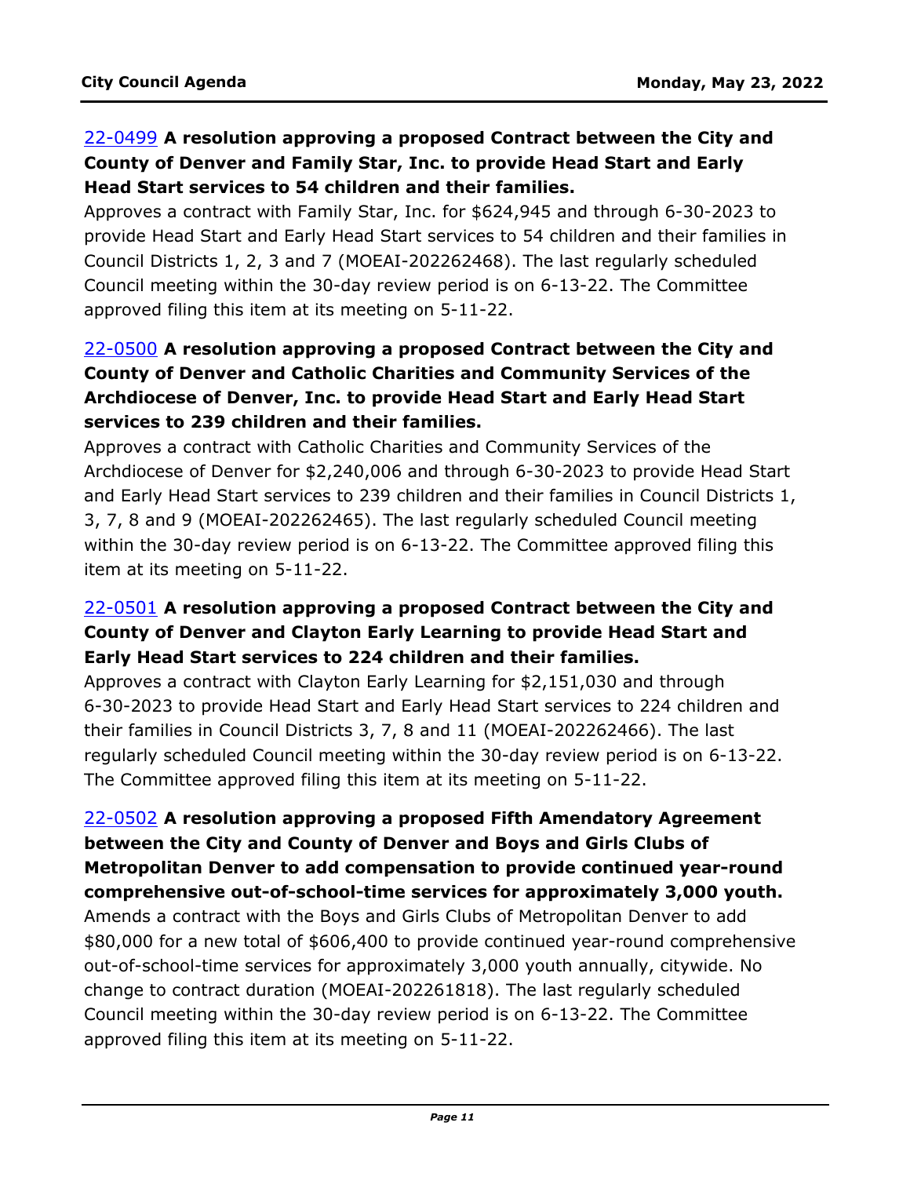## 22-0499 **A resolution approving a proposed Contract between the City and County of Denver and Family Star, Inc. to provide Head Start and Early Head Start services to 54 children and their families.**

Approves a contract with Family Star, Inc. for \$624,945 and through 6-30-2023 to [provide Head Start and Early Head Start services to 54 children and their families in](http://denver.legistar.com/gateway.aspx?m=l&id=/matter.aspx?key=21566)  Council Districts 1, 2, 3 and 7 (MOEAI-202262468). The last regularly scheduled Council meeting within the 30-day review period is on 6-13-22. The Committee approved filing this item at its meeting on 5-11-22.

# 22-0500 **A resolution approving a proposed Contract between the City and County of Denver and Catholic Charities and Community Services of the Archdiocese of Denver, Inc. to provide Head Start and Early Head Start services to 239 children and their families.**

Approves a contract with Catholic Charities and Community Services of the Archdiocese of Denver for \$2,240,006 and through 6-30-2023 to provide Head Start [and Early Head Start services to 239 children and their families in Council Districts 1,](http://denver.legistar.com/gateway.aspx?m=l&id=/matter.aspx?key=21567)  3, 7, 8 and 9 (MOEAI-202262465). The last regularly scheduled Council meeting within the 30-day review period is on 6-13-22. The Committee approved filing this item at its meeting on 5-11-22.

## 22-0501 **A resolution approving a proposed Contract between the City and County of Denver and Clayton Early Learning to provide Head Start and Early Head Start services to 224 children and their families.**

Approves a contract with Clayton Early Learning for \$2,151,030 and through 6-30-2023 to provide Head Start and Early Head Start services to 224 children and their families in Council Districts 3, 7, 8 and 11 (MOEAI-202262466). The last [regularly scheduled Council meeting within the 30-day review period is on 6-13-22.](http://denver.legistar.com/gateway.aspx?m=l&id=/matter.aspx?key=21568)  The Committee approved filing this item at its meeting on 5-11-22.

## 22-0502 **A resolution approving a proposed Fifth Amendatory Agreement between the City and County of Denver and Boys and Girls Clubs of Metropolitan Denver to add compensation to provide continued year-round comprehensive out-of-school-time services for approximately 3,000 youth.**

Amends a contract with the Boys and Girls Clubs of Metropolitan Denver to add [\\$80,000 for a new total of \\$606,400 to provide continued year-round comprehensive](http://denver.legistar.com/gateway.aspx?m=l&id=/matter.aspx?key=21569)  out-of-school-time services for approximately 3,000 youth annually, citywide. No change to contract duration (MOEAI-202261818). The last regularly scheduled Council meeting within the 30-day review period is on 6-13-22. The Committee approved filing this item at its meeting on 5-11-22.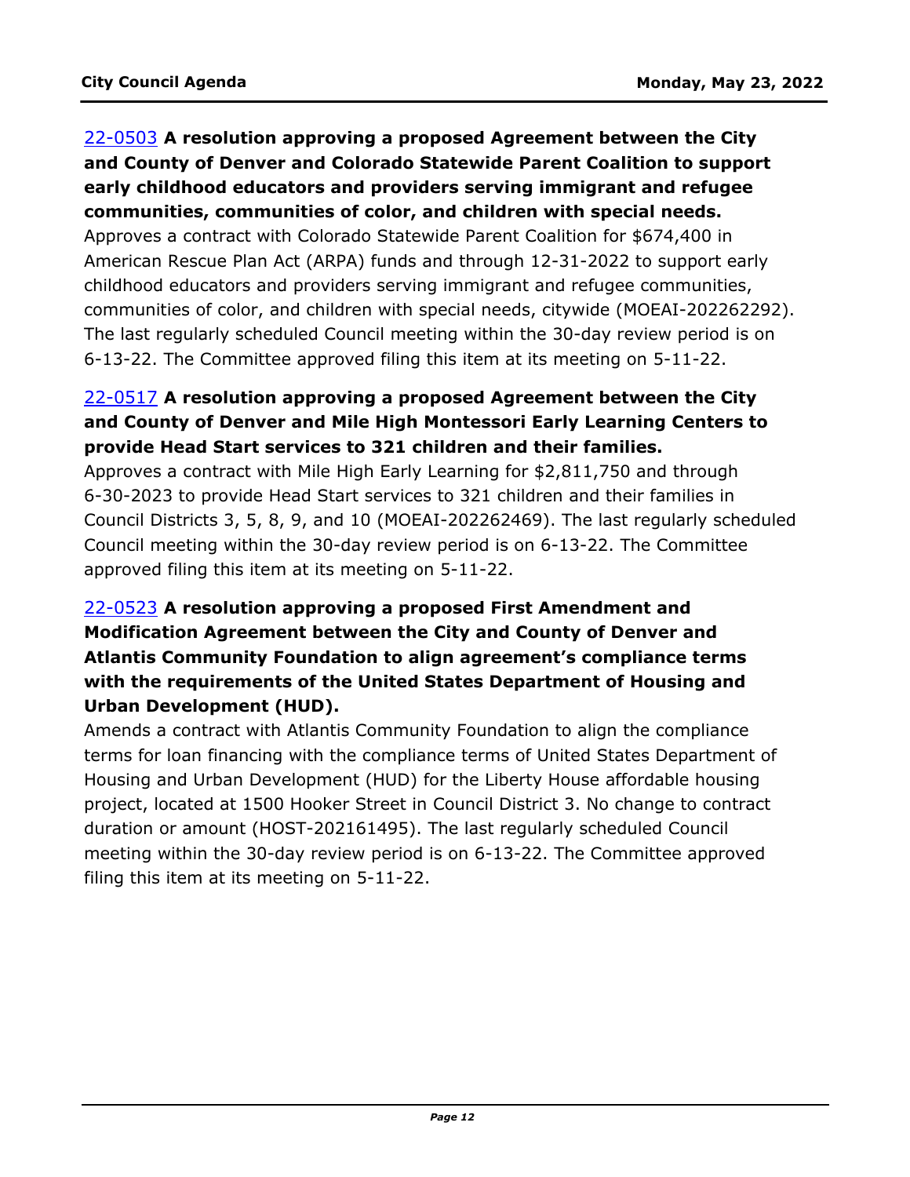## 22-0503 **A resolution approving a proposed Agreement between the City and County of Denver and Colorado Statewide Parent Coalition to support early childhood educators and providers serving immigrant and refugee communities, communities of color, and children with special needs.**

Approves a contract with Colorado Statewide Parent Coalition for \$674,400 in American Rescue Plan Act (ARPA) funds and through 12-31-2022 to support early childhood educators and providers serving immigrant and refugee communities, [communities of color, and children with special needs, citywide \(MOEAI-202262292\).](http://denver.legistar.com/gateway.aspx?m=l&id=/matter.aspx?key=21570)  The last regularly scheduled Council meeting within the 30-day review period is on 6-13-22. The Committee approved filing this item at its meeting on 5-11-22.

## 22-0517 **A resolution approving a proposed Agreement between the City and County of Denver and Mile High Montessori Early Learning Centers to provide Head Start services to 321 children and their families.**

Approves a contract with Mile High Early Learning for \$2,811,750 and through 6-30-2023 to provide Head Start services to 321 children and their families in [Council Districts 3, 5, 8, 9, and 10 \(MOEAI-202262469\). The last regularly scheduled](http://denver.legistar.com/gateway.aspx?m=l&id=/matter.aspx?key=21584)  Council meeting within the 30-day review period is on 6-13-22. The Committee approved filing this item at its meeting on 5-11-22.

# 22-0523 **A resolution approving a proposed First Amendment and Modification Agreement between the City and County of Denver and Atlantis Community Foundation to align agreement's compliance terms with the requirements of the United States Department of Housing and Urban Development (HUD).**

Amends a contract with Atlantis Community Foundation to align the compliance [terms for loan financing with the compliance terms of United States Department of](http://denver.legistar.com/gateway.aspx?m=l&id=/matter.aspx?key=21590)  Housing and Urban Development (HUD) for the Liberty House affordable housing project, located at 1500 Hooker Street in Council District 3. No change to contract duration or amount (HOST-202161495). The last regularly scheduled Council meeting within the 30-day review period is on 6-13-22. The Committee approved filing this item at its meeting on 5-11-22.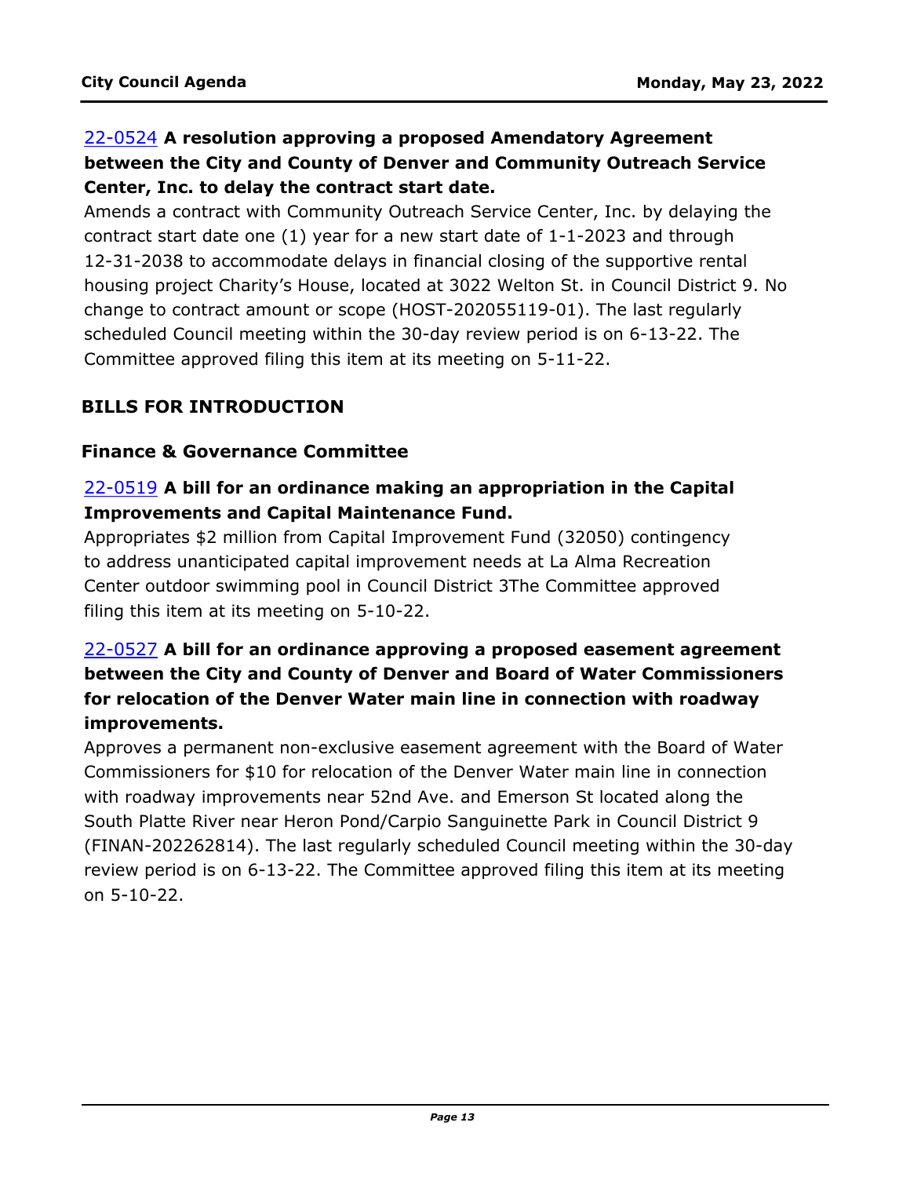# 22-0524 **A resolution approving a proposed Amendatory Agreement between the City and County of Denver and Community Outreach Service Center, Inc. to delay the contract start date.**

Amends a contract with Community Outreach Service Center, Inc. by delaying the contract start date one (1) year for a new start date of 1-1-2023 and through 12-31-2038 to accommodate delays in financial closing of the supportive rental [housing project Charity's House, located at 3022 Welton St. in Council District 9. No](http://denver.legistar.com/gateway.aspx?m=l&id=/matter.aspx?key=21591)  change to contract amount or scope (HOST-202055119-01). The last regularly scheduled Council meeting within the 30-day review period is on 6-13-22. The Committee approved filing this item at its meeting on 5-11-22.

# **BILLS FOR INTRODUCTION**

## **Finance & Governance Committee**

## 22-0519 **A bill for an ordinance making an appropriation in the Capital Improvements and Capital Maintenance Fund.**

[Appropriates \\$2 million from Capital Improvement Fund \(32050\) contingency](http://denver.legistar.com/gateway.aspx?m=l&id=/matter.aspx?key=21586)  to address unanticipated capital improvement needs at La Alma Recreation Center outdoor swimming pool in Council District 3The Committee approved filing this item at its meeting on 5-10-22.

# 22-0527 **A bill for an ordinance approving a proposed easement agreement between the City and County of Denver and Board of Water Commissioners for relocation of the Denver Water main line in connection with roadway improvements.**

Approves a permanent non-exclusive easement agreement with the Board of Water Commissioners for \$10 for relocation of the Denver Water main line in connection with roadway improvements near 52nd Ave. and Emerson St located along the South Platte River near Heron Pond/Carpio Sanguinette Park in Council District 9 [\(FINAN-202262814\). The last regularly scheduled Council meeting within the 30-day](http://denver.legistar.com/gateway.aspx?m=l&id=/matter.aspx?key=21594)  review period is on 6-13-22. The Committee approved filing this item at its meeting on 5-10-22.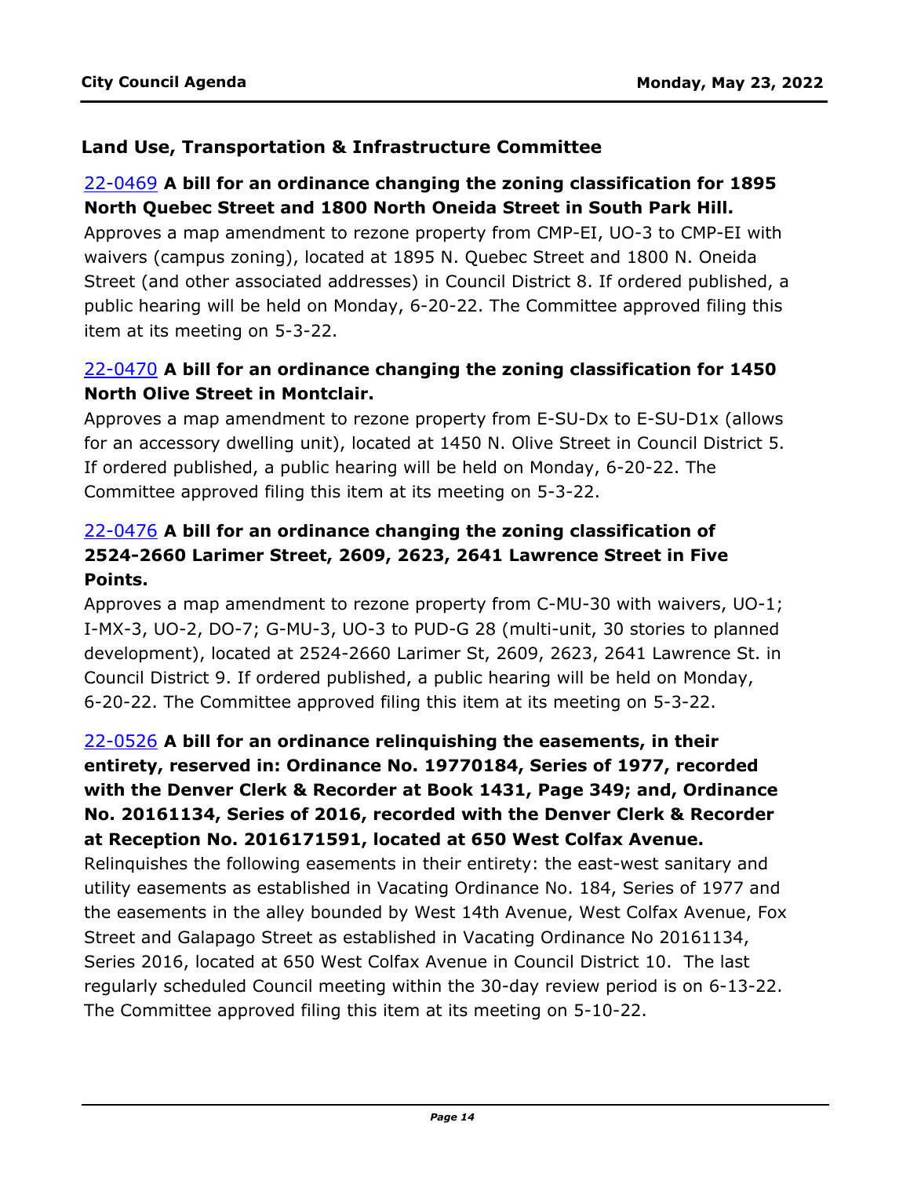#### **Land Use, Transportation & Infrastructure Committee**

#### 22-0469 **A bill for an ordinance changing the zoning classification for 1895 North Quebec Street and 1800 North Oneida Street in South Park Hill.**

Approves a map amendment to rezone property from CMP-EI, UO-3 to CMP-EI with waivers (campus zoning), located at 1895 N. Quebec Street and 1800 N. Oneida [Street \(and other associated addresses\) in Council District 8. If ordered published, a](http://denver.legistar.com/gateway.aspx?m=l&id=/matter.aspx?key=21536)  public hearing will be held on Monday, 6-20-22. The Committee approved filing this item at its meeting on 5-3-22.

## 22-0470 **A bill for an ordinance changing the zoning classification for 1450 North Olive Street in Montclair.**

Approves a map amendment to rezone property from E-SU-Dx to E-SU-D1x (allows [for an accessory dwelling unit\), located at 1450 N. Olive Street in Council District 5.](http://denver.legistar.com/gateway.aspx?m=l&id=/matter.aspx?key=21537)  If ordered published, a public hearing will be held on Monday, 6-20-22. The Committee approved filing this item at its meeting on 5-3-22.

## 22-0476 **A bill for an ordinance changing the zoning classification of 2524-2660 Larimer Street, 2609, 2623, 2641 Lawrence Street in Five Points.**

[Approves a map amendment to rezone property from C-MU-30 with waivers, UO-1;](http://denver.legistar.com/gateway.aspx?m=l&id=/matter.aspx?key=21543)  I-MX-3, UO-2, DO-7; G-MU-3, UO-3 to PUD-G 28 (multi-unit, 30 stories to planned development), located at 2524-2660 Larimer St, 2609, 2623, 2641 Lawrence St. in Council District 9. If ordered published, a public hearing will be held on Monday, 6-20-22. The Committee approved filing this item at its meeting on 5-3-22.

# 22-0526 **A bill for an ordinance relinquishing the easements, in their entirety, reserved in: Ordinance No. 19770184, Series of 1977, recorded with the Denver Clerk & Recorder at Book 1431, Page 349; and, Ordinance No. 20161134, Series of 2016, recorded with the Denver Clerk & Recorder at Reception No. 2016171591, located at 650 West Colfax Avenue.**

Relinquishes the following easements in their entirety: the east-west sanitary and utility easements as established in Vacating Ordinance No. 184, Series of 1977 and [the easements in the alley bounded by West 14th Avenue, West Colfax Avenue, Fox](http://denver.legistar.com/gateway.aspx?m=l&id=/matter.aspx?key=21593)  Street and Galapago Street as established in Vacating Ordinance No 20161134, Series 2016, located at 650 West Colfax Avenue in Council District 10. The last regularly scheduled Council meeting within the 30-day review period is on 6-13-22. The Committee approved filing this item at its meeting on 5-10-22.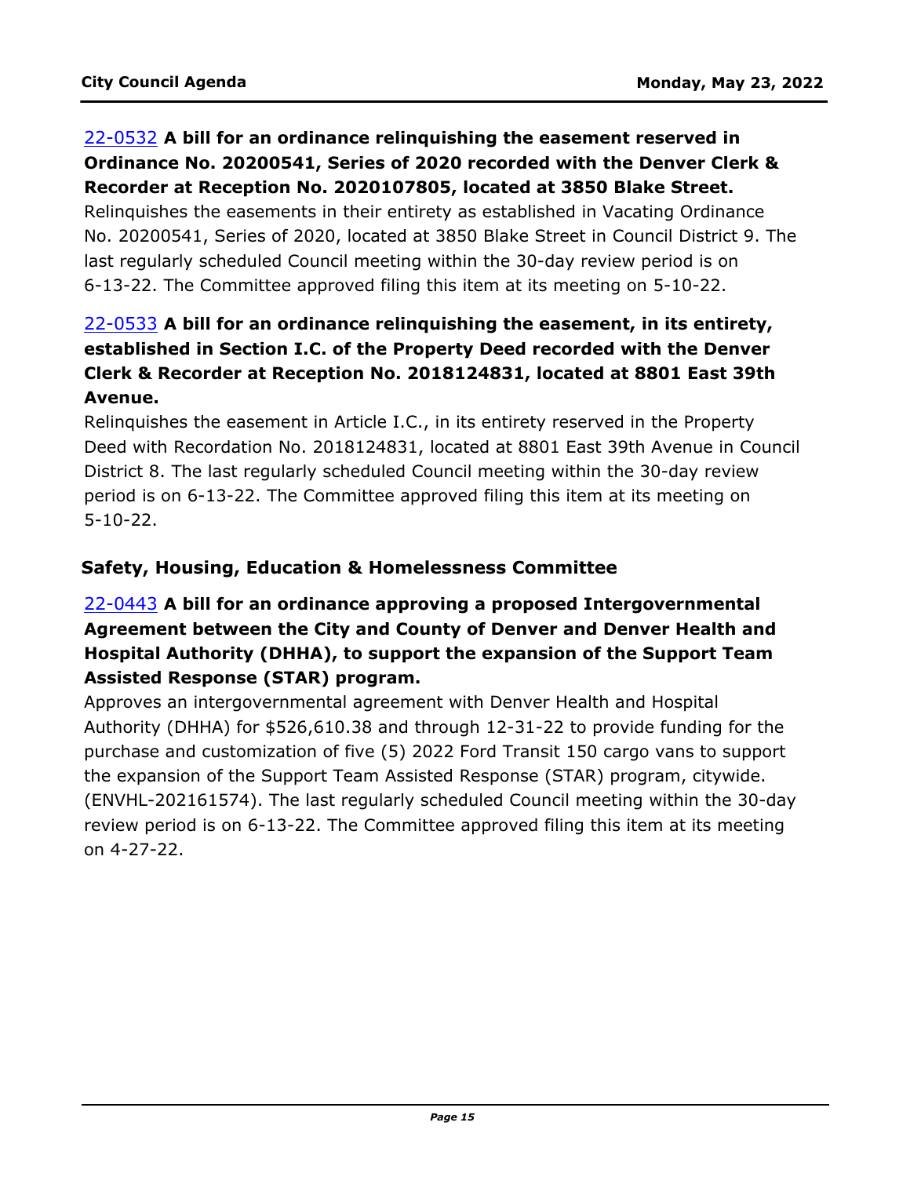## 22-0532 **A bill for an ordinance relinquishing the easement reserved in Ordinance No. 20200541, Series of 2020 recorded with the Denver Clerk & Recorder at Reception No. 2020107805, located at 3850 Blake Street.**

Relinquishes the easements in their entirety as established in Vacating Ordinance [No. 20200541, Series of 2020, located at 3850 Blake Street in Council District 9. The](http://denver.legistar.com/gateway.aspx?m=l&id=/matter.aspx?key=21599)  last regularly scheduled Council meeting within the 30-day review period is on 6-13-22. The Committee approved filing this item at its meeting on 5-10-22.

# 22-0533 **A bill for an ordinance relinquishing the easement, in its entirety, established in Section I.C. of the Property Deed recorded with the Denver Clerk & Recorder at Reception No. 2018124831, located at 8801 East 39th Avenue.**

Relinquishes the easement in Article I.C., in its entirety reserved in the Property [Deed with Recordation No. 2018124831, located at 8801 East 39th Avenue in Council](http://denver.legistar.com/gateway.aspx?m=l&id=/matter.aspx?key=21600)  District 8. The last regularly scheduled Council meeting within the 30-day review period is on 6-13-22. The Committee approved filing this item at its meeting on 5-10-22.

## **Safety, Housing, Education & Homelessness Committee**

# 22-0443 **A bill for an ordinance approving a proposed Intergovernmental Agreement between the City and County of Denver and Denver Health and Hospital Authority (DHHA), to support the expansion of the Support Team Assisted Response (STAR) program.**

Approves an intergovernmental agreement with Denver Health and Hospital Authority (DHHA) for \$526,610.38 and through 12-31-22 to provide funding for the purchase and customization of five (5) 2022 Ford Transit 150 cargo vans to support the expansion of the Support Team Assisted Response (STAR) program, citywide. [\(ENVHL-202161574\). The last regularly scheduled Council meeting within the 30-day](http://denver.legistar.com/gateway.aspx?m=l&id=/matter.aspx?key=21510)  review period is on 6-13-22. The Committee approved filing this item at its meeting on 4-27-22.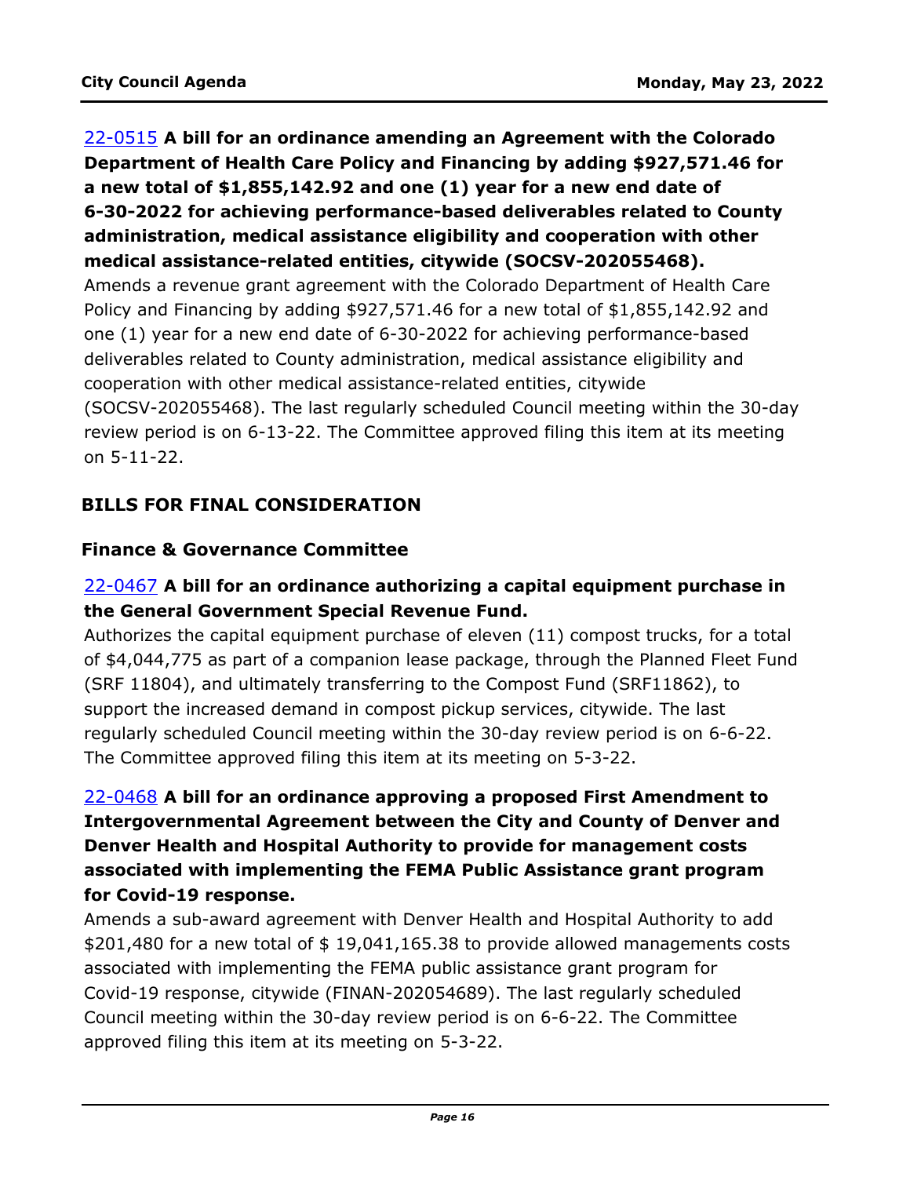# 22-0515 **A bill for an ordinance amending an Agreement with the Colorado Department of Health Care Policy and Financing by adding \$927,571.46 for a new total of \$1,855,142.92 and one (1) year for a new end date of 6-30-2022 for achieving performance-based deliverables related to County administration, medical assistance eligibility and cooperation with other medical assistance-related entities, citywide (SOCSV-202055468).**

Amends a revenue grant agreement with the Colorado Department of Health Care Policy and Financing by adding \$927,571.46 for a new total of \$1,855,142.92 and one (1) year for a new end date of 6-30-2022 for achieving performance-based deliverables related to County administration, medical assistance eligibility and cooperation with other medical assistance-related entities, citywide [\(SOCSV-202055468\). The last regularly scheduled Council meeting within the 30-day](http://denver.legistar.com/gateway.aspx?m=l&id=/matter.aspx?key=21582)  review period is on 6-13-22. The Committee approved filing this item at its meeting on 5-11-22.

## **BILLS FOR FINAL CONSIDERATION**

#### **Finance & Governance Committee**

## 22-0467 **A bill for an ordinance authorizing a capital equipment purchase in the General Government Special Revenue Fund.**

Authorizes the capital equipment purchase of eleven (11) compost trucks, for a total [of \\$4,044,775 as part of a companion lease package, through the Planned Fleet Fund](http://denver.legistar.com/gateway.aspx?m=l&id=/matter.aspx?key=21534)  (SRF 11804), and ultimately transferring to the Compost Fund (SRF11862), to support the increased demand in compost pickup services, citywide. The last regularly scheduled Council meeting within the 30-day review period is on 6-6-22. The Committee approved filing this item at its meeting on 5-3-22.

# 22-0468 **A bill for an ordinance approving a proposed First Amendment to Intergovernmental Agreement between the City and County of Denver and Denver Health and Hospital Authority to provide for management costs associated with implementing the FEMA Public Assistance grant program for Covid-19 response.**

Amends a sub-award agreement with Denver Health and Hospital Authority to add  $$201,480$  for a new total of  $$19,041,165.38$  to provide allowed managements costs associated with implementing the FEMA public assistance grant program for Covid-19 response, citywide (FINAN-202054689). The last regularly scheduled Council meeting within the 30-day review period is on 6-6-22. The Committee approved filing this item at its meeting on 5-3-22.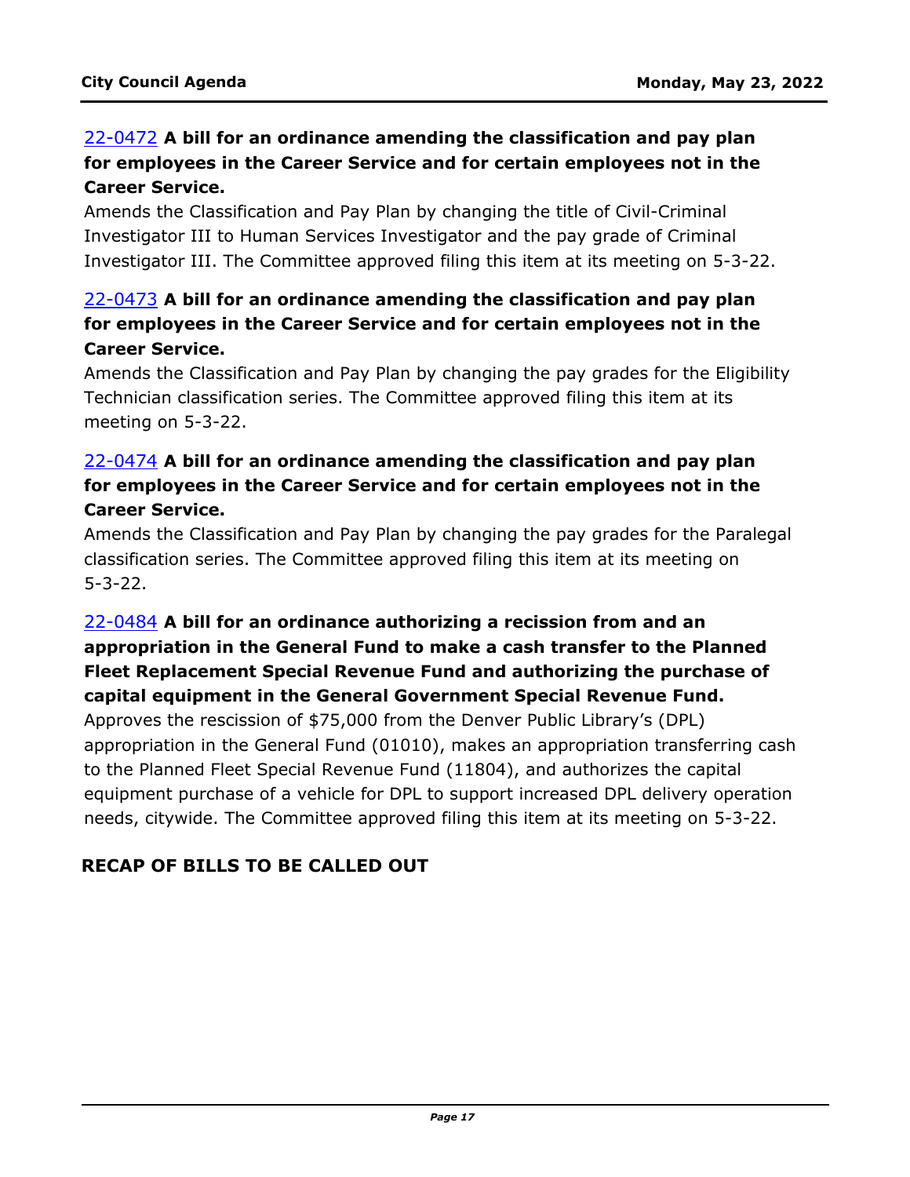# 22-0472 **A bill for an ordinance amending the classification and pay plan for employees in the Career Service and for certain employees not in the Career Service.**

Amends the Classification and Pay Plan by changing the title of Civil-Criminal Investigator III to Human Services Investigator and the pay grade of Criminal [Investigator III. The Committee approved filing this item at its meeting on 5-3-22.](http://denver.legistar.com/gateway.aspx?m=l&id=/matter.aspx?key=21539)

## 22-0473 **A bill for an ordinance amending the classification and pay plan for employees in the Career Service and for certain employees not in the Career Service.**

[Amends the Classification and Pay Plan by changing the pay grades for the Eligibility](http://denver.legistar.com/gateway.aspx?m=l&id=/matter.aspx?key=21540)  Technician classification series. The Committee approved filing this item at its meeting on 5-3-22.

## 22-0474 **A bill for an ordinance amending the classification and pay plan for employees in the Career Service and for certain employees not in the Career Service.**

[Amends the Classification and Pay Plan by changing the pay grades for the Paralegal](http://denver.legistar.com/gateway.aspx?m=l&id=/matter.aspx?key=21541)  classification series. The Committee approved filing this item at its meeting on 5-3-22.

# 22-0484 **A bill for an ordinance authorizing a recission from and an appropriation in the General Fund to make a cash transfer to the Planned Fleet Replacement Special Revenue Fund and authorizing the purchase of capital equipment in the General Government Special Revenue Fund.**

Approves the rescission of \$75,000 from the Denver Public Library's (DPL) [appropriation in the General Fund \(01010\), makes an appropriation transferring cash](http://denver.legistar.com/gateway.aspx?m=l&id=/matter.aspx?key=21551)  to the Planned Fleet Special Revenue Fund (11804), and authorizes the capital equipment purchase of a vehicle for DPL to support increased DPL delivery operation needs, citywide. The Committee approved filing this item at its meeting on 5-3-22.

## **RECAP OF BILLS TO BE CALLED OUT**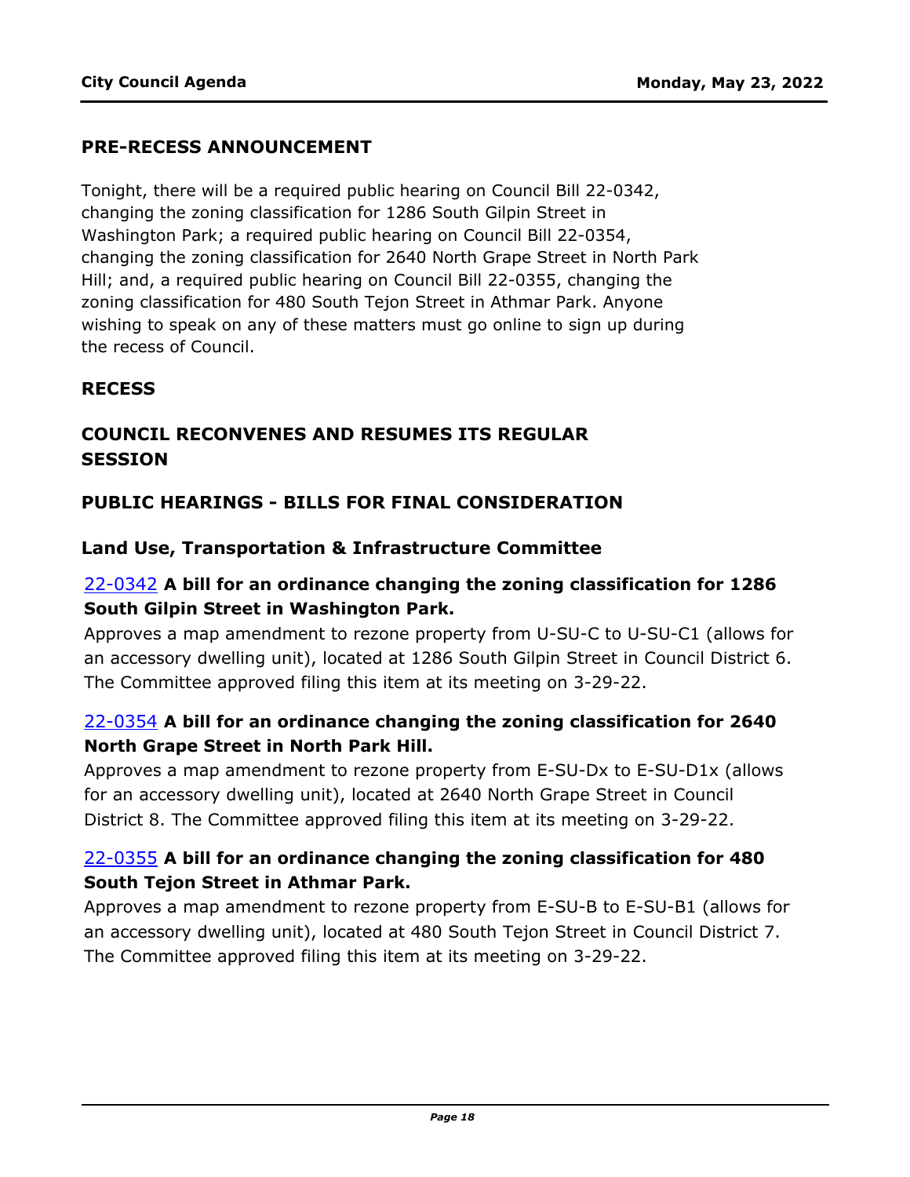#### **PRE-RECESS ANNOUNCEMENT**

Tonight, there will be a required public hearing on Council Bill 22-0342, changing the zoning classification for 1286 South Gilpin Street in Washington Park; a required public hearing on Council Bill 22-0354, changing the zoning classification for 2640 North Grape Street in North Park Hill; and, a required public hearing on Council Bill 22-0355, changing the zoning classification for 480 South Tejon Street in Athmar Park. Anyone wishing to speak on any of these matters must go online to sign up during the recess of Council.

#### **RECESS**

## **COUNCIL RECONVENES AND RESUMES ITS REGULAR SESSION**

#### **PUBLIC HEARINGS - BILLS FOR FINAL CONSIDERATION**

#### **Land Use, Transportation & Infrastructure Committee**

## 22-0342 **A bill for an ordinance changing the zoning classification for 1286 South Gilpin Street in Washington Park.**

[Approves a map amendment to rezone property from U-SU-C to U-SU-C1 \(allows for](http://denver.legistar.com/gateway.aspx?m=l&id=/matter.aspx?key=21409)  an accessory dwelling unit), located at 1286 South Gilpin Street in Council District 6. The Committee approved filing this item at its meeting on 3-29-22.

## 22-0354 **A bill for an ordinance changing the zoning classification for 2640 North Grape Street in North Park Hill.**

[Approves a map amendment to rezone property from E-SU-Dx to E-SU-D1x \(allows](http://denver.legistar.com/gateway.aspx?m=l&id=/matter.aspx?key=21421)  for an accessory dwelling unit), located at 2640 North Grape Street in Council District 8. The Committee approved filing this item at its meeting on 3-29-22.

## 22-0355 **A bill for an ordinance changing the zoning classification for 480 South Tejon Street in Athmar Park.**

[Approves a map amendment to rezone property from E-SU-B to E-SU-B1 \(allows for](http://denver.legistar.com/gateway.aspx?m=l&id=/matter.aspx?key=21422)  an accessory dwelling unit), located at 480 South Tejon Street in Council District 7. The Committee approved filing this item at its meeting on 3-29-22.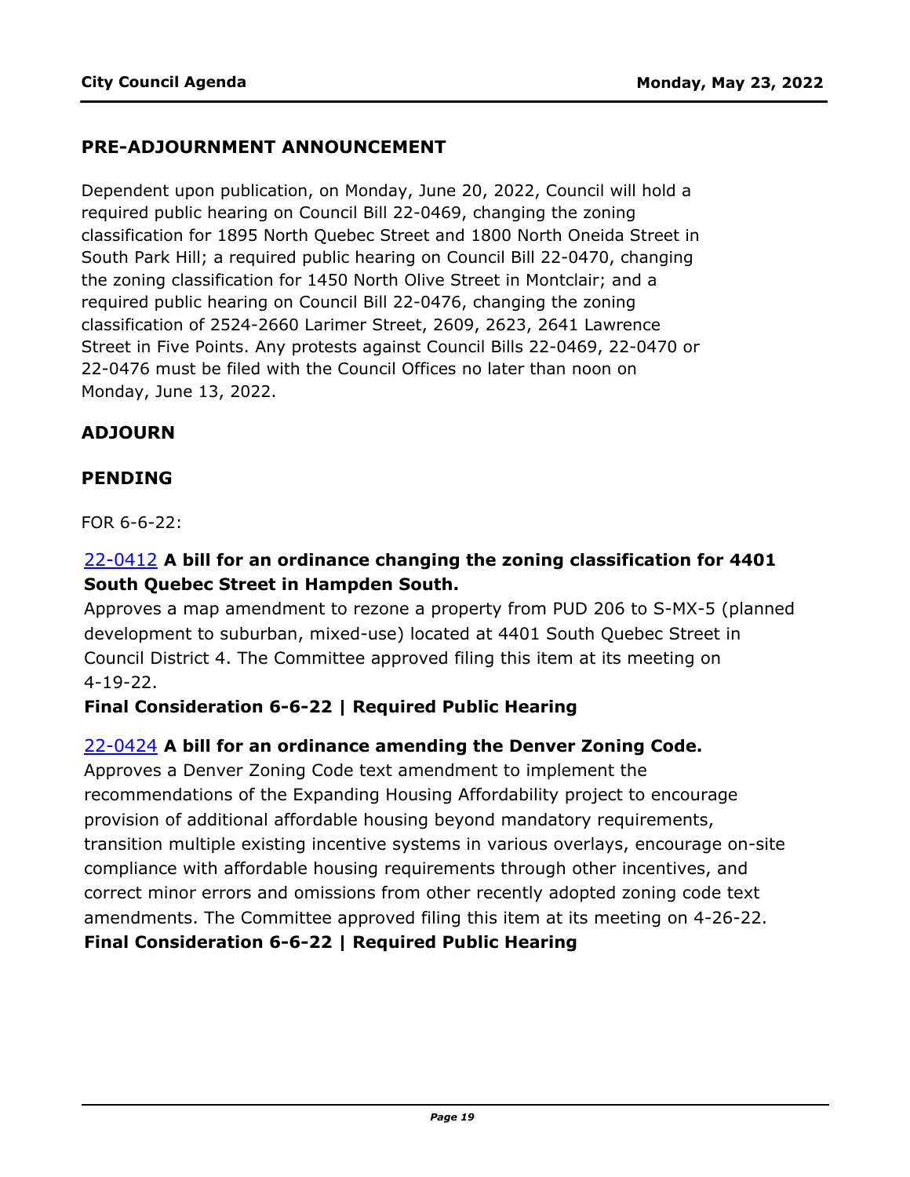#### **PRE-ADJOURNMENT ANNOUNCEMENT**

Dependent upon publication, on Monday, June 20, 2022, Council will hold a required public hearing on Council Bill 22-0469, changing the zoning classification for 1895 North Quebec Street and 1800 North Oneida Street in South Park Hill; a required public hearing on Council Bill 22-0470, changing the zoning classification for 1450 North Olive Street in Montclair; and a required public hearing on Council Bill 22-0476, changing the zoning classification of 2524-2660 Larimer Street, 2609, 2623, 2641 Lawrence Street in Five Points. Any protests against Council Bills 22-0469, 22-0470 or 22-0476 must be filed with the Council Offices no later than noon on Monday, June 13, 2022.

#### **ADJOURN**

#### **PENDING**

FOR 6-6-22:

## 22-0412 **A bill for an ordinance changing the zoning classification for 4401 South Quebec Street in Hampden South.**

[Approves a map amendment to rezone a property from PUD 206 to S-MX-5 \(planned](http://denver.legistar.com/gateway.aspx?m=l&id=/matter.aspx?key=21479)  development to suburban, mixed-use) located at 4401 South Quebec Street in Council District 4. The Committee approved filing this item at its meeting on 4-19-22.

#### **Final Consideration 6-6-22 | Required Public Hearing**

#### 22-0424 **A bill for an ordinance amending the Denver Zoning Code.**

Approves a Denver Zoning Code text amendment to implement the recommendations of the Expanding Housing Affordability project to encourage provision of additional affordable housing beyond mandatory requirements, [transition multiple existing incentive systems in various overlays, encourage on-site](http://denver.legistar.com/gateway.aspx?m=l&id=/matter.aspx?key=21491)  compliance with affordable housing requirements through other incentives, and correct minor errors and omissions from other recently adopted zoning code text amendments. The Committee approved filing this item at its meeting on 4-26-22. **Final Consideration 6-6-22 | Required Public Hearing**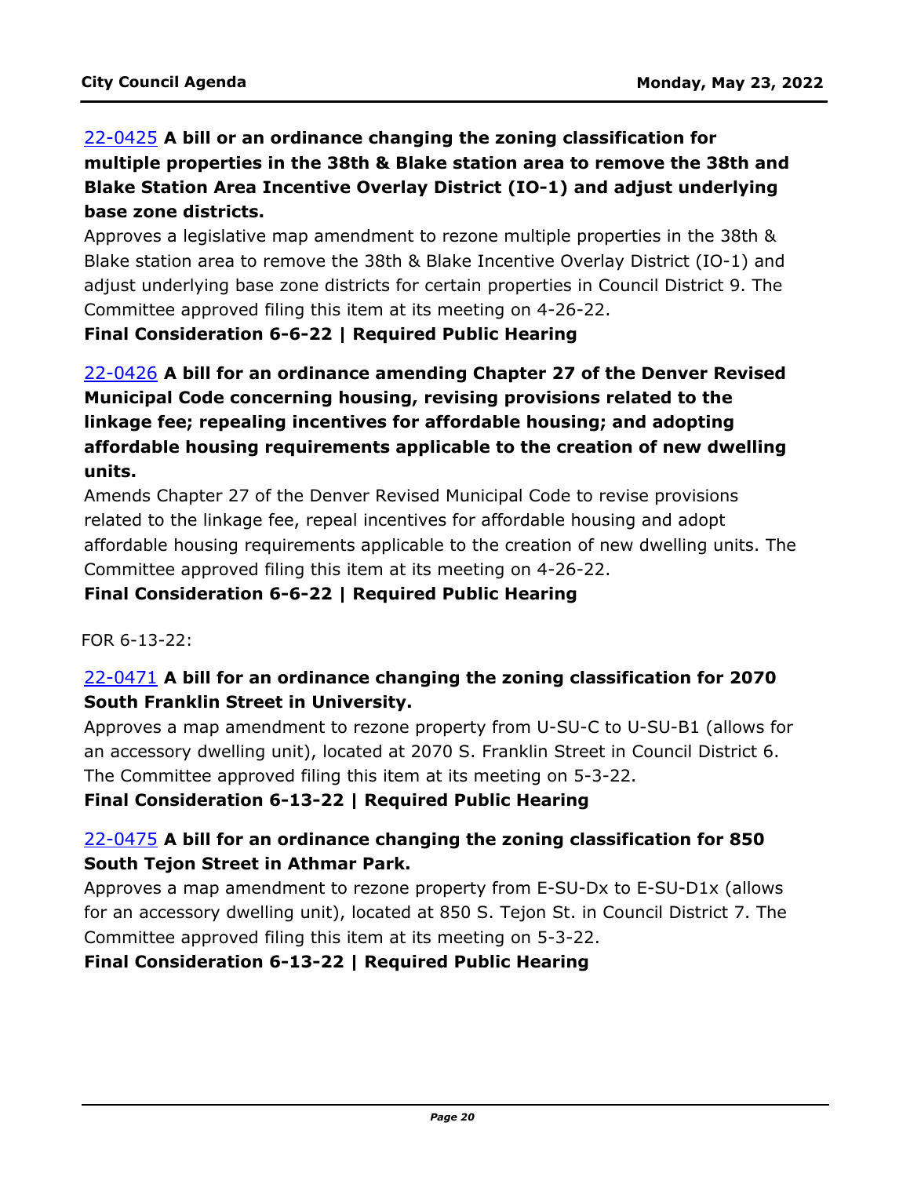# 22-0425 **A bill or an ordinance changing the zoning classification for [multiple properties in the 38th & Blake station area to remove the 38th and](http://denver.legistar.com/gateway.aspx?m=l&id=/matter.aspx?key=21492)  Blake Station Area Incentive Overlay District (IO-1) and adjust underlying base zone districts.**

Approves a legislative map amendment to rezone multiple properties in the 38th & Blake station area to remove the 38th & Blake Incentive Overlay District (IO-1) and adjust underlying base zone districts for certain properties in Council District 9. The Committee approved filing this item at its meeting on 4-26-22.

**Final Consideration 6-6-22 | Required Public Hearing**

# 22-0426 **A bill for an ordinance amending Chapter 27 of the Denver Revised Municipal Code concerning housing, revising provisions related to the linkage fee; repealing incentives for affordable housing; and adopting affordable housing requirements applicable to the creation of new dwelling units.**

Amends Chapter 27 of the Denver Revised Municipal Code to revise provisions related to the linkage fee, repeal incentives for affordable housing and adopt [affordable housing requirements applicable to the creation of new dwelling units. The](http://denver.legistar.com/gateway.aspx?m=l&id=/matter.aspx?key=21493)  Committee approved filing this item at its meeting on 4-26-22.

#### **Final Consideration 6-6-22 | Required Public Hearing**

#### FOR 6-13-22:

## 22-0471 **A bill for an ordinance changing the zoning classification for 2070 South Franklin Street in University.**

[Approves a map amendment to rezone property from U-SU-C to U-SU-B1 \(allows for](http://denver.legistar.com/gateway.aspx?m=l&id=/matter.aspx?key=21538)  an accessory dwelling unit), located at 2070 S. Franklin Street in Council District 6. The Committee approved filing this item at its meeting on 5-3-22.

**Final Consideration 6-13-22 | Required Public Hearing**

## 22-0475 **A bill for an ordinance changing the zoning classification for 850 South Tejon Street in Athmar Park.**

Approves a map amendment to rezone property from E-SU-Dx to E-SU-D1x (allows [for an accessory dwelling unit\), located at 850 S. Tejon St. in Council District 7. The](http://denver.legistar.com/gateway.aspx?m=l&id=/matter.aspx?key=21542)  Committee approved filing this item at its meeting on 5-3-22.

#### **Final Consideration 6-13-22 | Required Public Hearing**